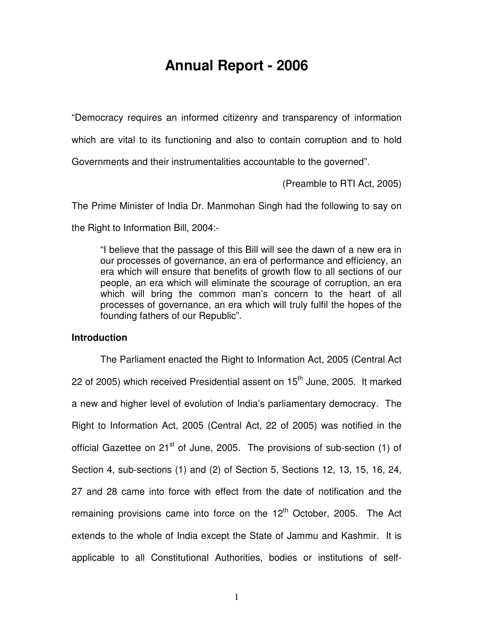## **Annual Report - 2006**

"Democracy requires an informed citizenry and transparency of information

which are vital to its functioning and also to contain corruption and to hold

Governments and their instrumentalities accountable to the governed".

(Preamble to RTI Act, 2005)

 The Prime Minister of India Dr. Manmohan Singh had the following to say on the Right to Information Bill, 2004:-

 "I believe that the passage of this Bill will see the dawn of a new era in our processes of governance, an era of performance and efficiency, an era which will ensure that benefits of growth flow to all sections of our people, an era which will eliminate the scourage of corruption, an era which will bring the common man's concern to the heart of all processes of governance, an era which will truly fulfil the hopes of the founding fathers of our Republic".

## **Introduction**

 The Parliament enacted the Right to Information Act, 2005 (Central Act 22 of 2005) which received Presidential assent on  $15<sup>th</sup>$  June, 2005. It marked a new and higher level of evolution of India's parliamentary democracy. The Right to Information Act, 2005 (Central Act, 22 of 2005) was notified in the official Gazettee on 21<sup>st</sup> of June, 2005. The provisions of sub-section (1) of Section 4, sub-sections (1) and (2) of Section 5, Sections 12, 13, 15, 16, 24, 27 and 28 came into force with effect from the date of notification and the remaining provisions came into force on the 12<sup>th</sup> October, 2005. The Act extends to the whole of India except the State of Jammu and Kashmir. It is applicable to all Constitutional Authorities, bodies or institutions of self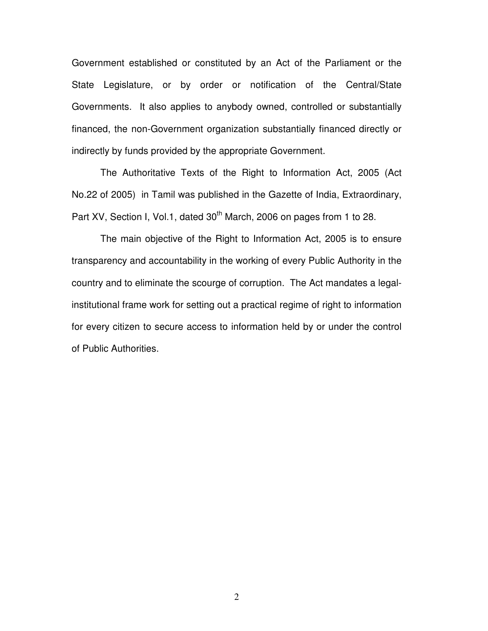Government established or constituted by an Act of the Parliament or the State Legislature, or by order or notification of the Central/State Governments. It also applies to anybody owned, controlled or substantially financed, the non-Government organization substantially financed directly or indirectly by funds provided by the appropriate Government.

 No.22 of 2005) in Tamil was published in the Gazette of India, Extraordinary, Part XV, Section I, Vol.1, dated  $30<sup>th</sup>$  March, 2006 on pages from 1 to 28. The Authoritative Texts of the Right to Information Act, 2005 (Act

 transparency and accountability in the working of every Public Authority in the country and to eliminate the scourge of corruption. The Act mandates a legal- institutional frame work for setting out a practical regime of right to information for every citizen to secure access to information held by or under the control of Public Authorities. The main objective of the Right to Information Act, 2005 is to ensure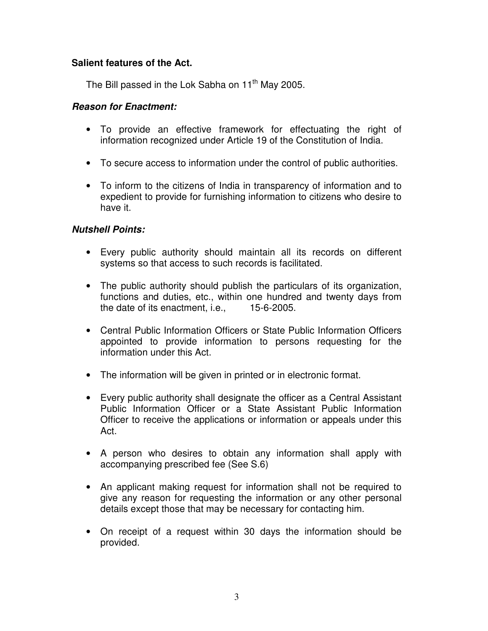## **Salient features of the Act.**

The Bill passed in the Lok Sabha on 11<sup>th</sup> May 2005.

## **Reason for Enactment:**

- • To provide an effective framework for effectuating the right of information recognized under Article 19 of the Constitution of India.
- To secure access to information under the control of public authorities.
- • To inform to the citizens of India in transparency of information and to expedient to provide for furnishing information to citizens who desire to have it.

## **Nutshell Points:**

- • Every public authority should maintain all its records on different systems so that access to such records is facilitated.
- • The public authority should publish the particulars of its organization, functions and duties, etc., within one hundred and twenty days from the date of its enactment, i.e., 15-6-2005.
- • Central Public Information Officers or State Public Information Officers appointed to provide information to persons requesting for the information under this Act.
- The information will be given in printed or in electronic format.
- • Every public authority shall designate the officer as a Central Assistant Public Information Officer or a State Assistant Public Information Officer to receive the applications or information or appeals under this Act.
- • A person who desires to obtain any information shall apply with accompanying prescribed fee (See S.6)
- • An applicant making request for information shall not be required to give any reason for requesting the information or any other personal details except those that may be necessary for contacting him.
- • On receipt of a request within 30 days the information should be provided.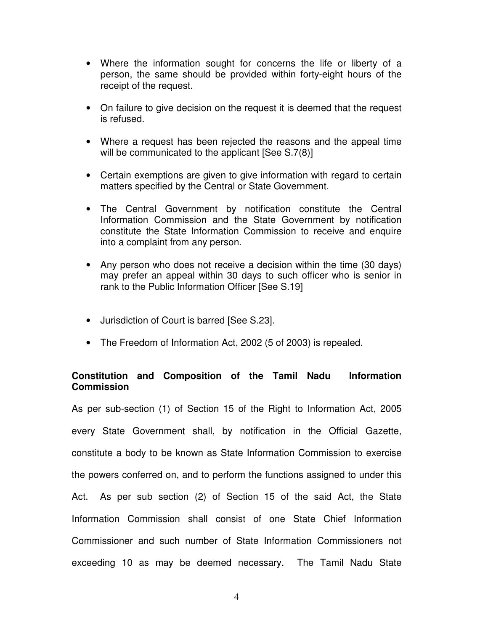- • Where the information sought for concerns the life or liberty of a person, the same should be provided within forty-eight hours of the receipt of the request.
- • On failure to give decision on the request it is deemed that the request is refused.
- • Where a request has been rejected the reasons and the appeal time will be communicated to the applicant [See S.7(8)]
- • Certain exemptions are given to give information with regard to certain matters specified by the Central or State Government.
- • The Central Government by notification constitute the Central Information Commission and the State Government by notification constitute the State Information Commission to receive and enquire into a complaint from any person.
- • Any person who does not receive a decision within the time (30 days) may prefer an appeal within 30 days to such officer who is senior in rank to the Public Information Officer [See S.19]
- Jurisdiction of Court is barred [See S.23].
- The Freedom of Information Act, 2002 (5 of 2003) is repealed.

## **Constitution and Composition of the Tamil Nadu Information Commission**

 As per sub-section (1) of Section 15 of the Right to Information Act, 2005 every State Government shall, by notification in the Official Gazette, constitute a body to be known as State Information Commission to exercise the powers conferred on, and to perform the functions assigned to under this Act. As per sub section (2) of Section 15 of the said Act, the State Information Commission shall consist of one State Chief Information Commissioner and such number of State Information Commissioners not exceeding 10 as may be deemed necessary. The Tamil Nadu State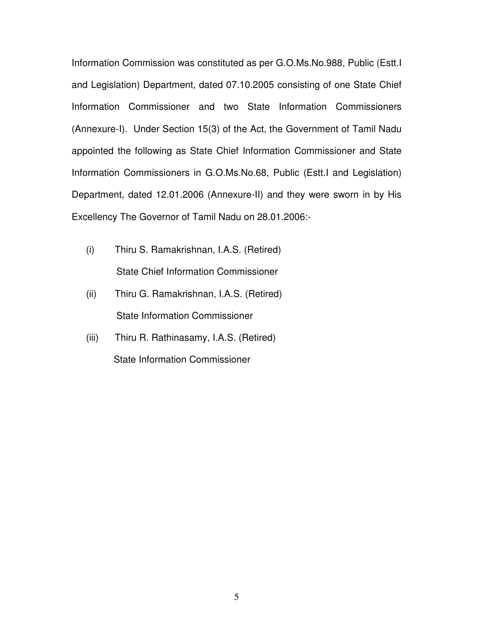Information Commission was constituted as per G.O.Ms.No.988, Public (Estt.I and Legislation) Department, dated 07.10.2005 consisting of one State Chief Information Commissioner and two State Information Commissioners (Annexure-I). Under Section 15(3) of the Act, the Government of Tamil Nadu appointed the following as State Chief Information Commissioner and State Information Commissioners in [G.O.Ms.No.68](https://G.O.Ms.No.68), Public (Estt.I and Legislation) Department, dated 12.01.2006 (Annexure-II) and they were sworn in by His Excellency The Governor of Tamil Nadu on 28.01.2006:-

- $(i)$ (i) Thiru S. Ramakrishnan, I.A.S. (Retired) State Chief Information Commissioner
- $(ii)$ Thiru G. Ramakrishnan, I.A.S. (Retired) State Information Commissioner
- $(iii)$ Thiru R. Rathinasamy, I.A.S. (Retired) State Information Commissioner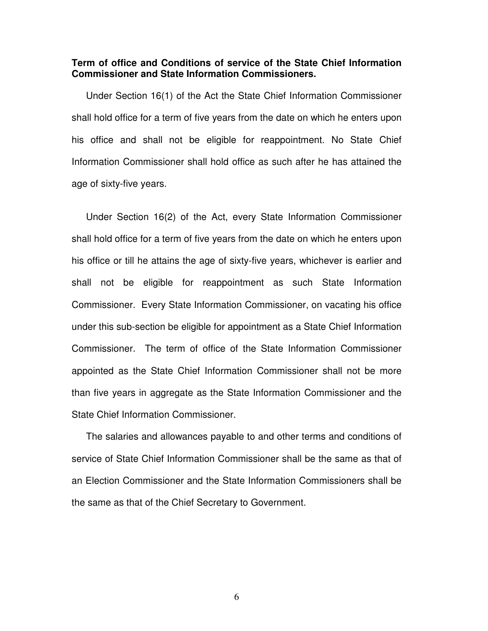#### **Term of office and Conditions of service of the State Chief Information Commissioner and State Information Commissioners.**

 Under Section 16(1) of the Act the State Chief Information Commissioner shall hold office for a term of five years from the date on which he enters upon his office and shall not be eligible for reappointment. No State Chief Information Commissioner shall hold office as such after he has attained the age of sixty-five years.

 Under Section 16(2) of the Act, every State Information Commissioner shall hold office for a term of five years from the date on which he enters upon his office or till he attains the age of sixty-five years, whichever is earlier and shall not be eligible for reappointment as such State Information Commissioner. Every State Information Commissioner, on vacating his office under this sub-section be eligible for appointment as a State Chief Information Commissioner. The term of office of the State Information Commissioner appointed as the State Chief Information Commissioner shall not be more than five years in aggregate as the State Information Commissioner and the State Chief Information Commissioner.

 The salaries and allowances payable to and other terms and conditions of service of State Chief Information Commissioner shall be the same as that of an Election Commissioner and the State Information Commissioners shall be the same as that of the Chief Secretary to Government.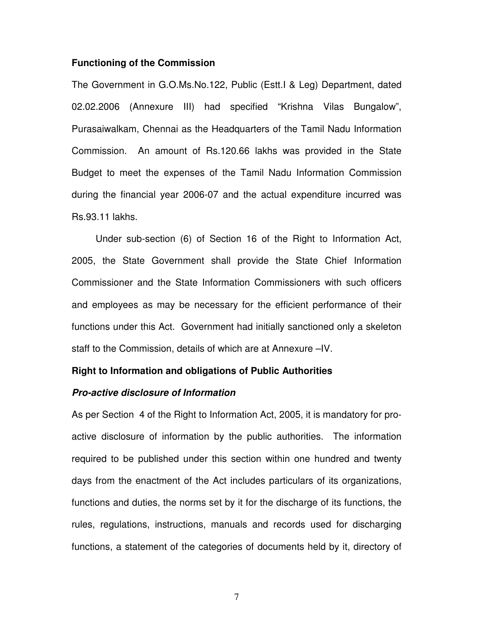#### **Functioning of the Commission**

 The Government in G.O.Ms.No.122, Public (Estt.I & Leg) Department, dated 02.02.2006 (Annexure III) had specified "Krishna Vilas Bungalow", Purasaiwalkam, Chennai as the Headquarters of the Tamil Nadu Information Commission. An amount of [Rs.120.66](https://Rs.120.66) lakhs was provided in the State Budget to meet the expenses of the Tamil Nadu Information Commission during the financial year 2006-07 and the actual expenditure incurred was [Rs.93.11](https://Rs.93.11) lakhs.

 2005, the State Government shall provide the State Chief Information Commissioner and the State Information Commissioners with such officers and employees as may be necessary for the efficient performance of their functions under this Act. Government had initially sanctioned only a skeleton staff to the Commission, details of which are at Annexure –IV. Under sub-section (6) of Section 16 of the Right to Information Act,

#### **Right to Information and obligations of Public Authorities**

## **Pro-active disclosure of Information**

 As per Section 4 of the Right to Information Act, 2005, it is mandatory for pro- active disclosure of information by the public authorities. The information required to be published under this section within one hundred and twenty days from the enactment of the Act includes particulars of its organizations, functions and duties, the norms set by it for the discharge of its functions, the rules, regulations, instructions, manuals and records used for discharging functions, a statement of the categories of documents held by it, directory of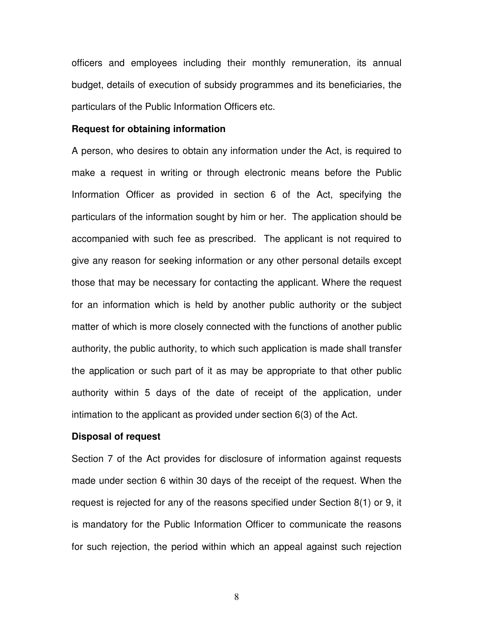officers and employees including their monthly remuneration, its annual budget, details of execution of subsidy programmes and its beneficiaries, the particulars of the Public Information Officers etc.

#### **Request for obtaining information**

 A person, who desires to obtain any information under the Act, is required to make a request in writing or through electronic means before the Public Information Officer as provided in section 6 of the Act, specifying the particulars of the information sought by him or her. The application should be accompanied with such fee as prescribed. The applicant is not required to give any reason for seeking information or any other personal details except those that may be necessary for contacting the applicant. Where the request for an information which is held by another public authority or the subject matter of which is more closely connected with the functions of another public authority, the public authority, to which such application is made shall transfer the application or such part of it as may be appropriate to that other public authority within 5 days of the date of receipt of the application, under intimation to the applicant as provided under section 6(3) of the Act.

#### **Disposal of request**

 Section 7 of the Act provides for disclosure of information against requests made under section 6 within 30 days of the receipt of the request. When the request is rejected for any of the reasons specified under Section 8(1) or 9, it is mandatory for the Public Information Officer to communicate the reasons for such rejection, the period within which an appeal against such rejection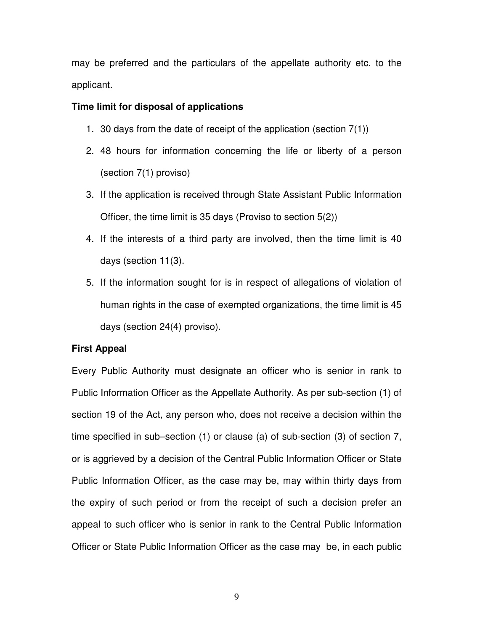may be preferred and the particulars of the appellate authority etc. to the applicant.

## **Time limit for disposal of applications**

- 1. 30 days from the date of receipt of the application (section 7(1))
- 2. 48 hours for information concerning the life or liberty of a person (section 7(1) proviso)
- 3. If the application is received through State Assistant Public Information Officer, the time limit is 35 days (Proviso to section 5(2))
- 4. If the interests of a third party are involved, then the time limit is 40 days (section 11(3).
- 5. If the information sought for is in respect of allegations of violation of human rights in the case of exempted organizations, the time limit is 45 days (section 24(4) proviso).

### **First Appeal**

 Every Public Authority must designate an officer who is senior in rank to Public Information Officer as the Appellate Authority. As per sub-section (1) of section 19 of the Act, any person who, does not receive a decision within the time specified in sub–section (1) or clause (a) of sub-section (3) of section 7, or is aggrieved by a decision of the Central Public Information Officer or State Public Information Officer, as the case may be, may within thirty days from the expiry of such period or from the receipt of such a decision prefer an appeal to such officer who is senior in rank to the Central Public Information Officer or State Public Information Officer as the case may be, in each public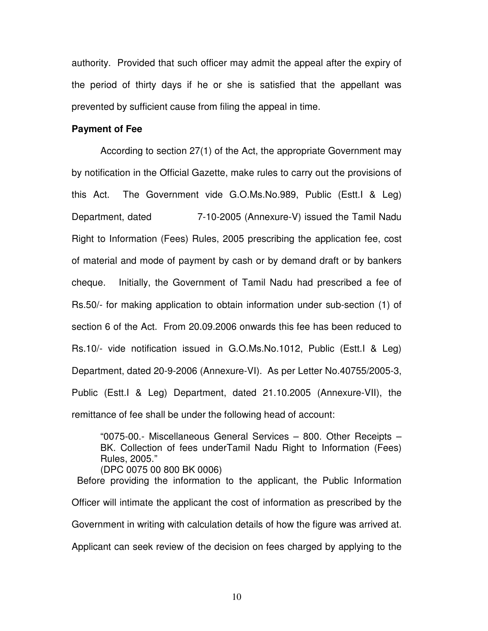authority. Provided that such officer may admit the appeal after the expiry of the period of thirty days if he or she is satisfied that the appellant was prevented by sufficient cause from filing the appeal in time.

#### **Payment of Fee**

 According to section 27(1) of the Act, the appropriate Government may by notification in the Official Gazette, make rules to carry out the provisions of this Act. Department, dated Right to Information (Fees) Rules, 2005 prescribing the application fee, cost of material and mode of payment by cash or by demand draft or by bankers cheaue. Rs.50/- for making application to obtain information under sub-section (1) of section 6 of the Act. From 20.09.2006 onwards this fee has been reduced to Rs.10/- vide notification issued in G.O.Ms.No.1012, Public (Estt.I & Leg) Department, dated 20-9-2006 (Annexure-VI). As per Letter No.40755/2005-3, Public (Estt.I & Leg) Department, dated 21.10.2005 (Annexure-VII), the remittance of fee shall be under the following head of account: The Government vide G.O.Ms.No.989, Public (Estt.I & Leg) 7-10-2005 (Annexure-V) issued the Tamil Nadu Initially, the Government of Tamil Nadu had prescribed a fee of

 "0075-00.- Miscellaneous General Services – 800. Other Receipts – BK. Collection of fees underTamil Nadu Right to Information (Fees) Rules, 2005." (DPC 0075 00 800 BK 0006)

 Officer will intimate the applicant the cost of information as prescribed by the Government in writing with calculation details of how the figure was arrived at. Applicant can seek review of the decision on fees charged by applying to the Before providing the information to the applicant, the Public Information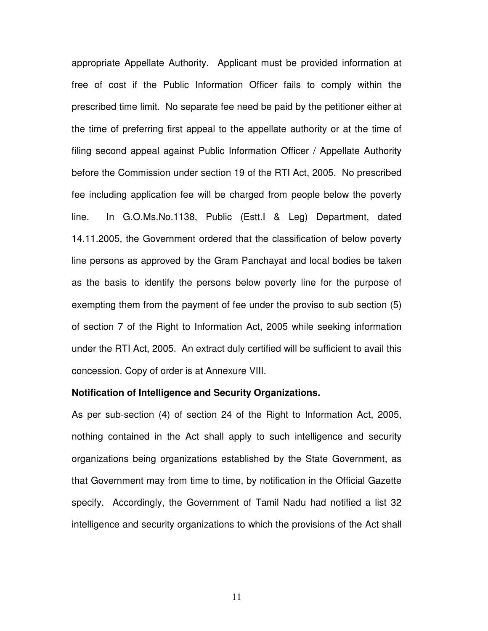appropriate Appellate Authority. Applicant must be provided information at free of cost if the Public Information Officer fails to comply within the prescribed time limit. No separate fee need be paid by the petitioner either at the time of preferring first appeal to the appellate authority or at the time of filing second appeal against Public Information Officer / Appellate Authority before the Commission under section 19 of the RTI Act, 2005. No prescribed fee including application fee will be charged from people below the poverty line. 14.11.2005, the Government ordered that the classification of below poverty line persons as approved by the Gram Panchayat and local bodies be taken as the basis to identify the persons below poverty line for the purpose of exempting them from the payment of fee under the proviso to sub section (5) of section 7 of the Right to Information Act, 2005 while seeking information under the RTI Act, 2005. An extract duly certified will be sufficient to avail this concession. Copy of order is at Annexure VIII. In G.O.Ms.No.1138, Public (Estt.I & Leg) Department, dated

#### **Notification of Intelligence and Security Organizations.**

 As per sub-section (4) of section 24 of the Right to Information Act, 2005, nothing contained in the Act shall apply to such intelligence and security organizations being organizations established by the State Government, as that Government may from time to time, by notification in the Official Gazette specify. Accordingly, the Government of Tamil Nadu had notified a list 32 intelligence and security organizations to which the provisions of the Act shall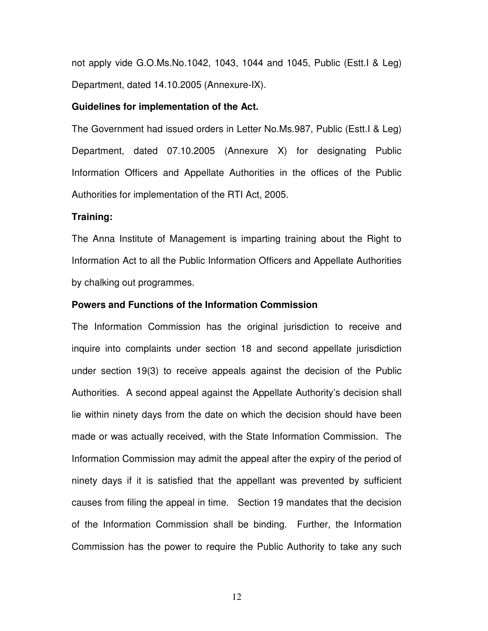not apply vide G.O.Ms.No.1042, 1043, 1044 and 1045, Public (Estt.I & Leg) Department, dated 14.10.2005 (Annexure-IX).

#### **Guidelines for implementation of the Act.**

 The Government had issued orders in Letter No.Ms.987, Public (Estt.I & Leg) Department, dated 07.10.2005 (Annexure X) for designating Public Information Officers and Appellate Authorities in the offices of the Public Authorities for implementation of the RTI Act, 2005.

#### **Training:**

 The Anna Institute of Management is imparting training about the Right to Information Act to all the Public Information Officers and Appellate Authorities by chalking out programmes.

#### **Powers and Functions of the Information Commission**

 The Information Commission has the original jurisdiction to receive and inquire into complaints under section 18 and second appellate jurisdiction under section 19(3) to receive appeals against the decision of the Public Authorities. A second appeal against the Appellate Authority's decision shall lie within ninety days from the date on which the decision should have been made or was actually received, with the State Information Commission. The Information Commission may admit the appeal after the expiry of the period of ninety days if it is satisfied that the appellant was prevented by sufficient causes from filing the appeal in time. Section 19 mandates that the decision of the Information Commission shall be binding. Further, the Information Commission has the power to require the Public Authority to take any such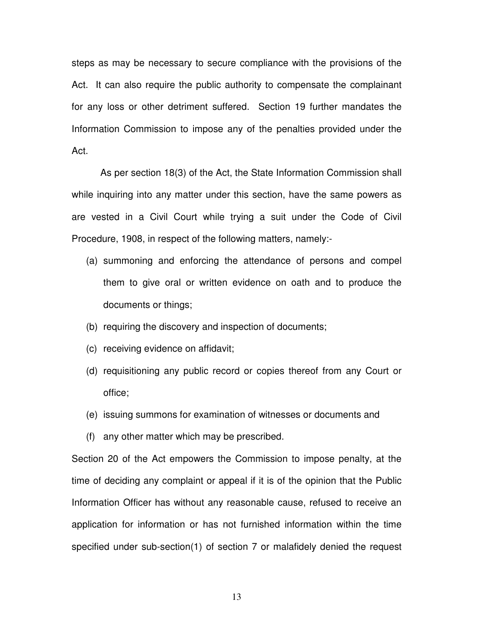steps as may be necessary to secure compliance with the provisions of the Act. It can also require the public authority to compensate the complainant for any loss or other detriment suffered. Section 19 further mandates the Information Commission to impose any of the penalties provided under the Act.

 while inquiring into any matter under this section, have the same powers as are vested in a Civil Court while trying a suit under the Code of Civil Procedure, 1908, in respect of the following matters, namely:- As per section 18(3) of the Act, the State Information Commission shall

- (a) summoning and enforcing the attendance of persons and compel them to give oral or written evidence on oath and to produce the documents or things;
- (b) requiring the discovery and inspection of documents;
- (c) receiving evidence on affidavit;
- (d) requisitioning any public record or copies thereof from any Court or office;
- (e) issuing summons for examination of witnesses or documents and
- (f) any other matter which may be prescribed.

 Section 20 of the Act empowers the Commission to impose penalty, at the time of deciding any complaint or appeal if it is of the opinion that the Public Information Officer has without any reasonable cause, refused to receive an application for information or has not furnished information within the time specified under sub-section(1) of section 7 or malafidely denied the request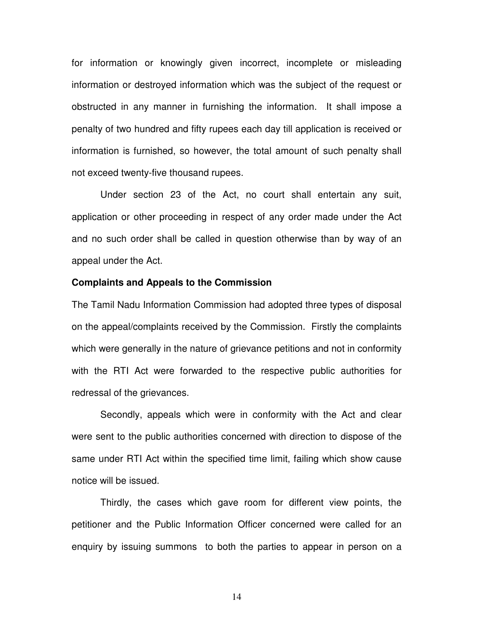for information or knowingly given incorrect, incomplete or misleading information or destroyed information which was the subject of the request or obstructed in any manner in furnishing the information. It shall impose a penalty of two hundred and fifty rupees each day till application is received or information is furnished, so however, the total amount of such penalty shall not exceed twenty-five thousand rupees.

 Under section 23 of the Act, no court shall entertain any suit, application or other proceeding in respect of any order made under the Act and no such order shall be called in question otherwise than by way of an appeal under the Act.

#### **Complaints and Appeals to the Commission**

 The Tamil Nadu Information Commission had adopted three types of disposal on the appeal/complaints received by the Commission. Firstly the complaints which were generally in the nature of grievance petitions and not in conformity with the RTI Act were forwarded to the respective public authorities for redressal of the grievances.

 Secondly, appeals which were in conformity with the Act and clear were sent to the public authorities concerned with direction to dispose of the same under RTI Act within the specified time limit, failing which show cause notice will be issued.

 Thirdly, the cases which gave room for different view points, the petitioner and the Public Information Officer concerned were called for an enquiry by issuing summons to both the parties to appear in person on a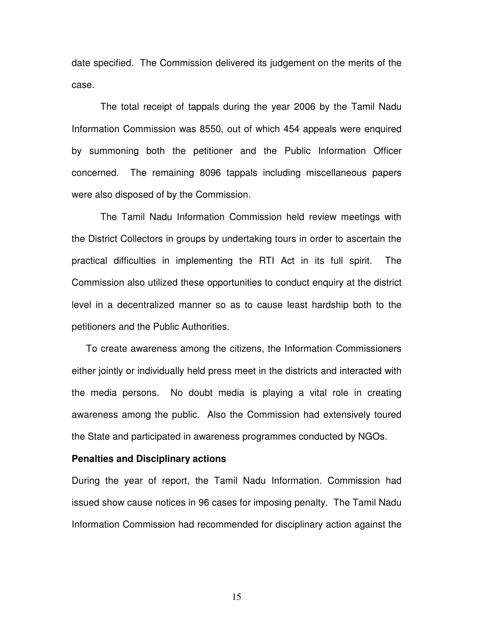date specified. The Commission delivered its judgement on the merits of the case.

 Information Commission was 8550, out of which 454 appeals were enquired by summoning both the petitioner and the Public Information Officer concerned. The remaining 8096 tappals including miscellaneous papers were also disposed of by the Commission. The total receipt of tappals during the year 2006 by the Tamil Nadu

 the District Collectors in groups by undertaking tours in order to ascertain the practical difficulties in implementing the RTI Act in its full spirit. The Commission also utilized these opportunities to conduct enquiry at the district level in a decentralized manner so as to cause least hardship both to the petitioners and the Public Authorities. The Tamil Nadu Information Commission held review meetings with

 To create awareness among the citizens, the Information Commissioners either jointly or individually held press meet in the districts and interacted with the media persons. No doubt media is playing a vital role in creating awareness among the public. Also the Commission had extensively toured the State and participated in awareness programmes conducted by NGOs.

#### **Penalties and Disciplinary actions**

 During the year of report, the Tamil Nadu Information. Commission had issued show cause notices in 96 cases for imposing penalty. The Tamil Nadu Information Commission had recommended for disciplinary action against the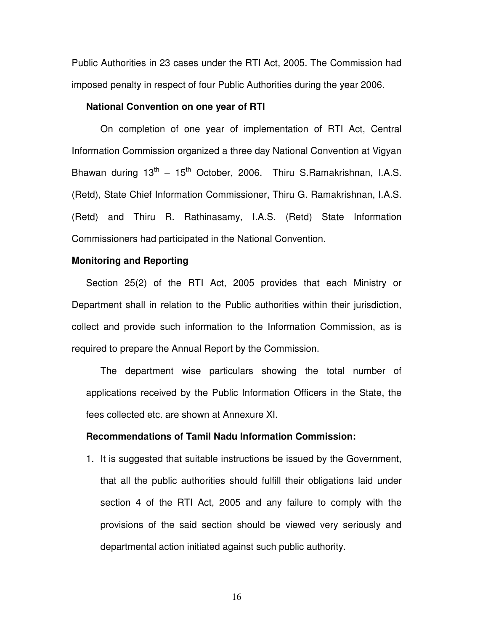Public Authorities in 23 cases under the RTI Act, 2005. The Commission had imposed penalty in respect of four Public Authorities during the year 2006.

#### **National Convention on one year of RTI**

 Information Commission organized a three day National Convention at Vigyan Bhawan during  $13^{th} - 15^{th}$  October, 2006. Thiru S.Ramakrishnan, I.A.S. (Retd), State Chief Information Commissioner, Thiru G. Ramakrishnan, I.A.S. (Retd) and Thiru R. Rathinasamy, I.A.S. (Retd) State Information Commissioners had participated in the National Convention. On completion of one year of implementation of RTI Act, Central

#### **Monitoring and Reporting**

 Section 25(2) of the RTI Act, 2005 provides that each Ministry or Department shall in relation to the Public authorities within their jurisdiction, collect and provide such information to the Information Commission, as is required to prepare the Annual Report by the Commission.

 applications received by the Public Information Officers in the State, the fees collected etc. are shown at Annexure XI. The department wise particulars showing the total number of

#### **Recommendations of Tamil Nadu Information Commission:**

 1. It is suggested that suitable instructions be issued by the Government, that all the public authorities should fulfill their obligations laid under section 4 of the RTI Act, 2005 and any failure to comply with the provisions of the said section should be viewed very seriously and departmental action initiated against such public authority.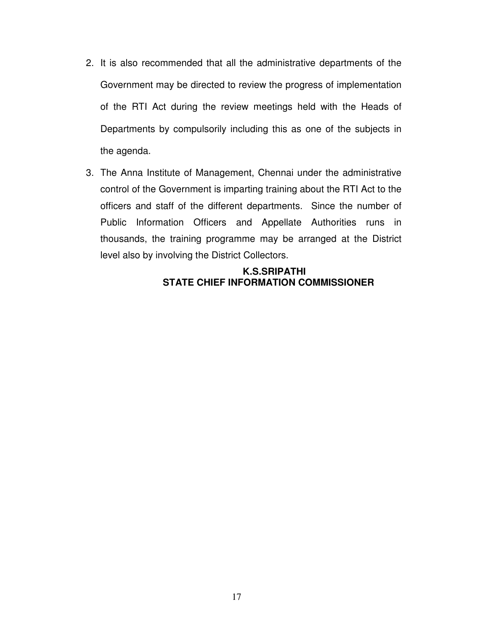- 2. It is also recommended that all the administrative departments of the Government may be directed to review the progress of implementation of the RTI Act during the review meetings held with the Heads of Departments by compulsorily including this as one of the subjects in the agenda.
- 3. The Anna Institute of Management, Chennai under the administrative control of the Government is imparting training about the RTI Act to the officers and staff of the different departments. Since the number of Public Information Officers and Appellate Authorities runs in thousands, the training programme may be arranged at the District level also by involving the District Collectors.

## **K.S.SRIPATHI STATE CHIEF INFORMATION COMMISSIONER**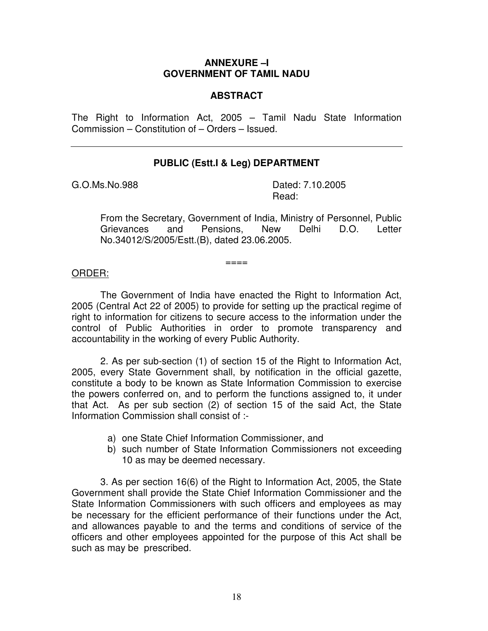## **ANNEXURE –I GOVERNMENT OF TAMIL NADU**

## **ABSTRACT**

 The Right to Information Act, 2005 – Tamil Nadu State Information Commission – Constitution of – Orders – Issued.

## **PUBLIC (Estt.I & Leg) DEPARTMENT**

G.O.Ms.No.988

Dated: 7.10.2005 Read:

 From the Secretary, Government of India, Ministry of Personnel, Public Grievances No.34012/S/2005/Estt.(B), dated 23.06.2005. and Pensions. New Delhi D.O. Letter

 $=$  $=$  $=$ 

# ==== ORDER:

 2005 (Central Act 22 of 2005) to provide for setting up the practical regime of right to information for citizens to secure access to the information under the control of Public Authorities in order to promote transparency and accountability in the working of every Public Authority. The Government of India have enacted the Right to Information Act,

 2005, every State Government shall, by notification in the official gazette, constitute a body to be known as State Information Commission to exercise the powers conferred on, and to perform the functions assigned to, it under that Act. As per sub section (2) of section 15 of the said Act, the State Information Commission shall consist of :- 2. As per sub-section (1) of section 15 of the Right to Information Act,

- a) one State Chief Information Commissioner, and
- b) such number of State Information Commissioners not exceeding 10 as may be deemed necessary.

 3. As per section 16(6) of the Right to Information Act, 2005, the State Government shall provide the State Chief Information Commissioner and the State Information Commissioners with such officers and employees as may be necessary for the efficient performance of their functions under the Act, and allowances payable to and the terms and conditions of service of the officers and other employees appointed for the purpose of this Act shall be such as may be prescribed.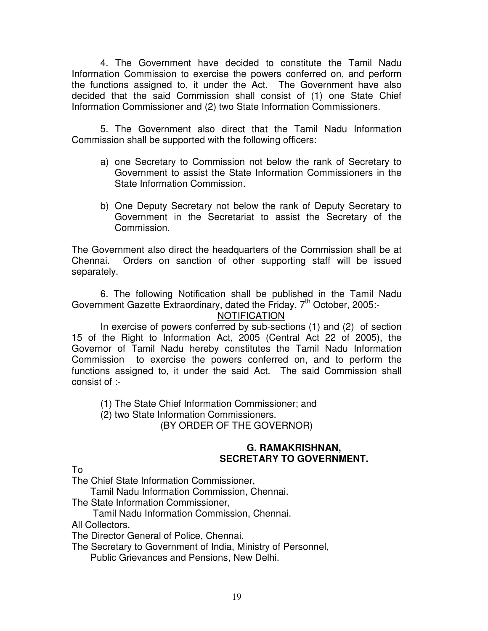4. The Government have decided to constitute the Tamil Nadu Information Commission to exercise the powers conferred on, and perform the functions assigned to, it under the Act. The Government have also decided that the said Commission shall consist of (1) one State Chief Information Commissioner and (2) two State Information Commissioners.

 5. The Government also direct that the Tamil Nadu Information Commission shall be supported with the following officers:

- a) one Secretary to Commission not below the rank of Secretary to Government to assist the State Information Commissioners in the State Information Commission.
- State Information Commission. b) One Deputy Secretary not below the rank of Deputy Secretary to Government in the Secretariat to assist the Secretary of the Commission.

 Commission. The Government also direct the headquarters of the Commission shall be at Chennai. Orders on sanction of other supporting staff will be issued separately.

 6. The following Notification shall be published in the Tamil Nadu Government Gazette Extraordinary, dated the Friday, 7<sup>th</sup> October, 2005:-

## **NOTIFICATION**

 In exercise of powers conferred by sub-sections (1) and (2) of section 15 of the Right to Information Act, 2005 (Central Act 22 of 2005), the Governor of Tamil Nadu hereby constitutes the Tamil Nadu Information Commission to exercise the powers conferred on, and to perform the functions assigned to, it under the said Act. The said Commission shall consist of :-

(1) The State Chief Information Commissioner; and

(2) two State Information Commissioners.

(BY ORDER OF THE GOVERNOR)

## **SECRETARY TO GOVERNMENT. G. RAMAKRISHNAN,**

To

The Chief State Information Commissioner,

Tamil Nadu Information Commission, Chennai.

The State Information Commissioner,

Tamil Nadu Information Commission, Chennai.

All Collectors.

The Director General of Police, Chennai.

The Secretary to Government of India, Ministry of Personnel,

Public Grievances and Pensions, New Delhi.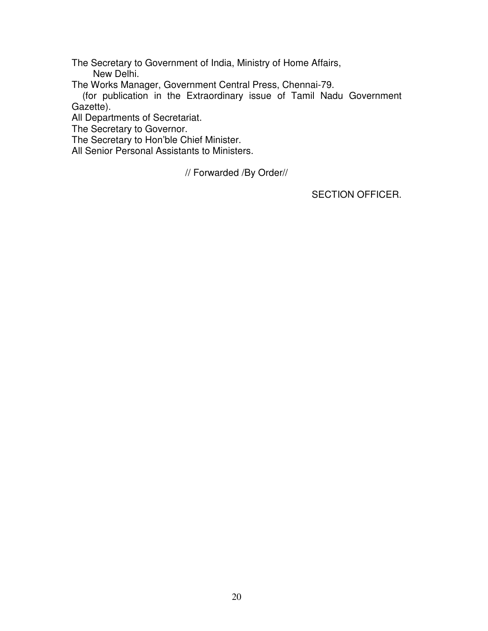The Secretary to Government of India, Ministry of Home Affairs, New Delhi.

The Works Manager, Government Central Press, Chennai-79.

(for publication in the Extraordinary issue of Tamil Nadu Government Gazette).

All Departments of Secretariat.

The Secretary to Governor.

The Secretary to Hon'ble Chief Minister.

All Senior Personal Assistants to Ministers.

// Forwarded /By Order//

SECTION OFFICER.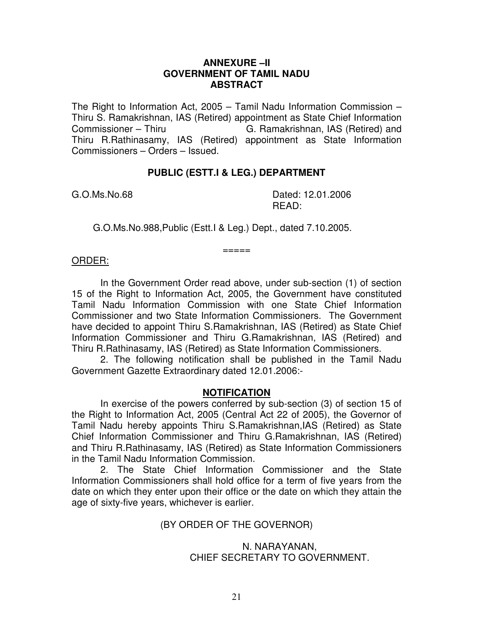## **ANNEXURE –II GOVERNMENT OF TAMIL NADU ABSTRACT**

 The Right to Information Act, 2005 – Tamil Nadu Information Commission – Thiru S. Ramakrishnan, IAS (Retired) appointment as State Chief Information Commissioner - Thiru Thiru R.Rathinasamy, IAS (Retired) appointment as State Information Commissioners – Orders – Issued. G. Ramakrishnan, IAS (Retired) and

### **PUBLIC (ESTT.I & LEG.) DEPARTMENT**

G.O.Ms.No.68

Dated: 12.01.2006 READ:

G.O.Ms.No.988,Public (Estt.I & Leg.) Dept., dated 7.10.2005.

#### ORDER:

 15 of the Right to Information Act, 2005, the Government have constituted Tamil Nadu Information Commission with one State Chief Information Commissioner and two State Information Commissioners. The Government have decided to appoint Thiru S.Ramakrishnan, IAS (Retired) as State Chief Information Commissioner and Thiru G.Ramakrishnan, IAS (Retired) and Thiru R.Rathinasamy, IAS (Retired) as State Information Commissioners. In the Government Order read above, under sub-section (1) of section

 $=====$ 

 Government Gazette Extraordinary dated 12.01.2006:- 2. The following notification shall be published in the Tamil Nadu

#### **NOTIFICATION**

 the Right to Information Act, 2005 (Central Act 22 of 2005), the Governor of Tamil Nadu hereby appoints Thiru S.Ramakrishnan,IAS (Retired) as State Chief Information Commissioner and Thiru G.Ramakrishnan, IAS (Retired) and Thiru R.Rathinasamy, IAS (Retired) as State Information Commissioners in the Tamil Nadu Information Commission. In exercise of the powers conferred by sub-section (3) of section 15 of

 Information Commissioners shall hold office for a term of five years from the date on which they enter upon their office or the date on which they attain the age of sixty-five years, whichever is earlier. 2. The State Chief Information Commissioner and the State

#### (BY ORDER OF THE GOVERNOR)

## CHIEF SECRETARY TO GOVERNMENT. N. NARAYANAN,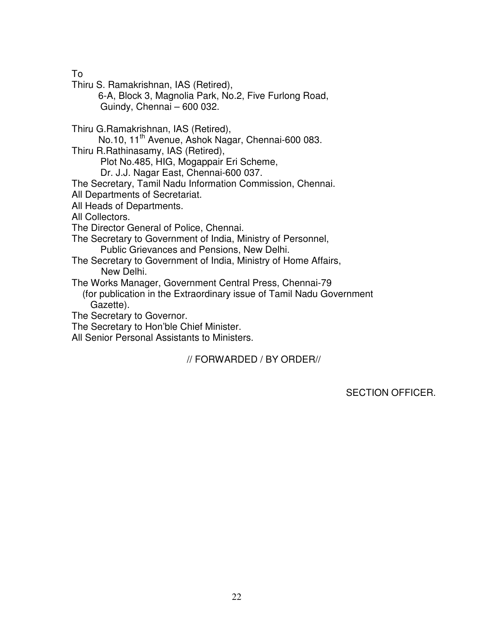To

Thiru S. Ramakrishnan, IAS (Retired),

 Guindy, Chennai – 600 032. 6-A, Block 3, Magnolia Park, No.2, Five Furlong Road,

Thiru G.Ramakrishnan, IAS (Retired),

No.10, 11<sup>th</sup> Avenue, Ashok Nagar, Chennai-600 083.

Thiru R.Rathinasamy, IAS (Retired),

Plot No.485, HIG, Mogappair Eri Scheme,

Dr. J.J. Nagar East, Chennai-600 037.

The Secretary, Tamil Nadu Information Commission, Chennai.

All Departments of Secretariat.

All Heads of Departments.

All Collectors.

The Director General of Police, Chennai.

 The Secretary to Government of India, Ministry of Personnel, Public Grievances and Pensions, New Delhi.

 The Secretary to Government of India, Ministry of Home Affairs, New Delhi.

The Works Manager, Government Central Press, Chennai-79

(for publication in the Extraordinary issue of Tamil Nadu Government Gazette).

The Secretary to Governor.

The Secretary to Hon'ble Chief Minister.

All Senior Personal Assistants to Ministers.

// FORWARDED / BY ORDER//

SECTION OFFICER.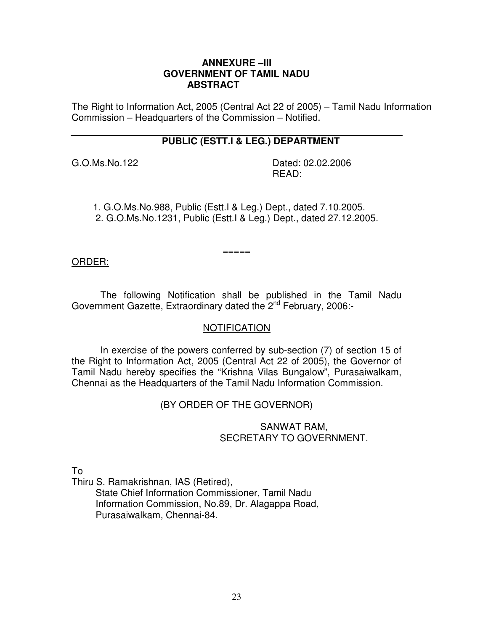## **ANNEXURE –III GOVERNMENT OF TAMIL NADU ABSTRACT**

 The Right to Information Act, 2005 (Central Act 22 of 2005) – Tamil Nadu Information Commission – Headquarters of the Commission – Notified.

## **PUBLIC (ESTT.I & LEG.) DEPARTMENT**

G.O.Ms.No.122

Dated: 02.02.2006 READ:

1. G.O.Ms.No.988, Public (Estt.I & Leg.) Dept., dated 7.10.2005. 2. G.O.Ms.No.1231, Public (Estt.I & Leg.) Dept., dated 27.12.2005.

===== ORDER:

Government Gazette, Extraordinary dated the 2<sup>nd</sup> February, 2006:-The following Notification shall be published in the Tamil Nadu

## **NOTIFICATION**

 the Right to Information Act, 2005 (Central Act 22 of 2005), the Governor of Tamil Nadu hereby specifies the "Krishna Vilas Bungalow", Purasaiwalkam, Chennai as the Headquarters of the Tamil Nadu Information Commission. In exercise of the powers conferred by sub-section (7) of section 15 of

(BY ORDER OF THE GOVERNOR)

## SANWAT RAM, SECRETARY TO GOVERNMENT.

To

Thiru S. Ramakrishnan, IAS (Retired),

State Chief Information Commissioner, Tamil Nadu Information Commission, No.89, Dr. Alagappa Road, Purasaiwalkam, Chennai-84.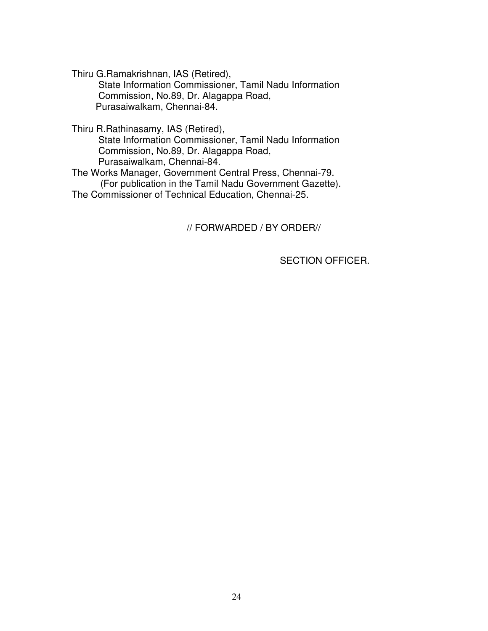Thiru G.Ramakrishnan, IAS (Retired),

State Information Commissioner, Tamil Nadu Information Commission, No.89, Dr. Alagappa Road, Purasaiwalkam, Chennai-84.

Thiru R.Rathinasamy, IAS (Retired),

State Information Commissioner, Tamil Nadu Information Commission, No.89, Dr. Alagappa Road, Purasaiwalkam, Chennai-84.

 The Works Manager, Government Central Press, Chennai-79. The Commissioner of Technical Education, Chennai-25. (For publication in the Tamil Nadu Government Gazette).

// FORWARDED / BY ORDER//

SECTION OFFICER.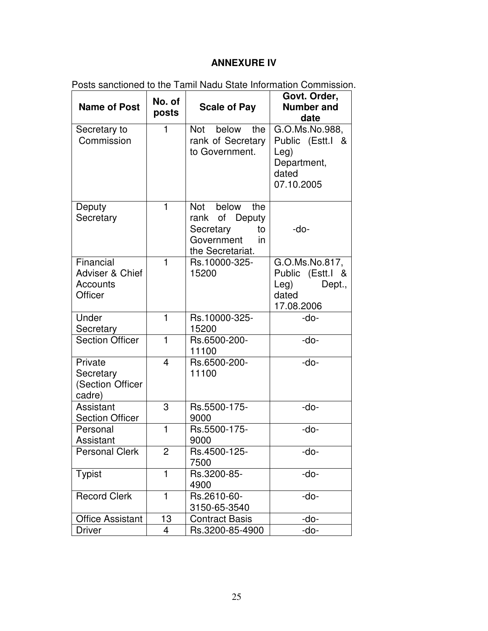## **ANNEXURE IV**

| <b>Name of Post</b>                                 | No. of                  | <u>o odnoncu to tho Tamii riddu olalo imomnation commission</u><br><b>Scale of Pay</b>           | Govt. Order,<br><b>Number and</b>                                                              |
|-----------------------------------------------------|-------------------------|--------------------------------------------------------------------------------------------------|------------------------------------------------------------------------------------------------|
|                                                     | posts                   |                                                                                                  | date                                                                                           |
| Secretary to<br>Commission                          | 1                       | below<br>Not<br>the<br>rank of Secretary<br>to Government.                                       | G.O.Ms.No.988,<br>Public (Estt.I<br><u>&amp;</u><br>Leg)<br>Department,<br>dated<br>07.10.2005 |
| Deputy<br>Secretary                                 | $\mathbf{1}$            | below<br>Not<br>the<br>rank of Deputy<br>Secretary<br>to<br>Government<br>in<br>the Secretariat. | -do-                                                                                           |
| Financial<br>Adviser & Chief<br>Accounts<br>Officer | $\mathbf{1}$            | Rs.10000-325-<br>15200                                                                           | G.O.Ms.No.817,<br>Public (Estt.I &<br>Leg)<br>Dept.,<br>dated<br>17.08.2006                    |
| Under<br>Secretary                                  | $\mathbf{1}$            | Rs.10000-325-<br>15200                                                                           | -do-                                                                                           |
| Section Officer                                     | $\mathbf{1}$            | Rs.6500-200-<br>11100                                                                            | -do-                                                                                           |
| Private<br>Secretary<br>(Section Officer<br>cadre)  | $\overline{\mathbf{4}}$ | Rs.6500-200-<br>11100                                                                            | -do-                                                                                           |
| Assistant<br><b>Section Officer</b>                 | 3                       | Rs.5500-175-<br>9000                                                                             | -do-                                                                                           |
| Personal<br>Assistant                               | $\mathbf{1}$            | Rs.5500-175-<br>9000                                                                             | -do-                                                                                           |
| <b>Personal Clerk</b>                               | 2                       | Rs.4500-125-<br>7500                                                                             | -do-                                                                                           |
| <b>Typist</b>                                       | $\mathbf{1}$            | Rs.3200-85-<br>4900                                                                              | -do-                                                                                           |
| <b>Record Clerk</b>                                 | 1                       | Rs.2610-60-<br>3150-65-3540                                                                      | -do-                                                                                           |
| <b>Office Assistant</b>                             | 13                      | <b>Contract Basis</b>                                                                            | -do-                                                                                           |
| <b>Driver</b>                                       | 4                       | Rs.3200-85-4900                                                                                  | -do-                                                                                           |

Posts sanctioned to the Tamil Nadu State Information Commission.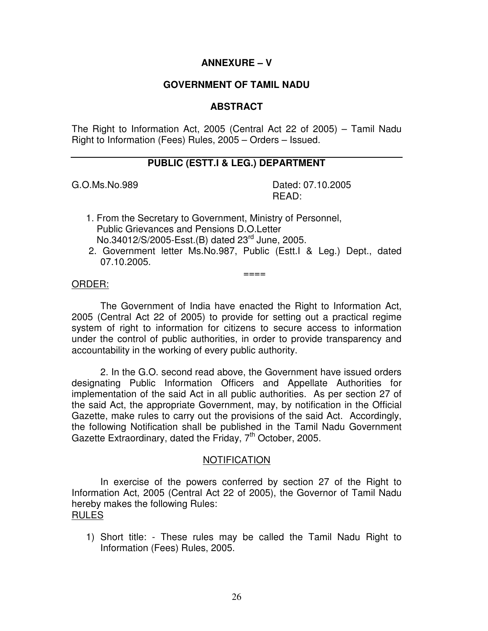## **ANNEXURE – V**

## **GOVERNMENT OF TAMIL NADU**

## **ABSTRACT**

 The Right to Information Act, 2005 (Central Act 22 of 2005) – Tamil Nadu Right to Information (Fees) Rules, 2005 – Orders – Issued.

## **PUBLIC (ESTT.I & LEG.) DEPARTMENT**

G.O.Ms.No.989

Dated: 07.10.2005 READ:

- 1. From the Secretary to Government, Ministry of Personnel, Public Grievances and Pensions D.O.Letter No.34012/S/2005-Esst.(B) dated 23<sup>rd</sup> June, 2005.
- 2. Government letter Ms.No.987, Public (Estt.I & Leg.) Dept., dated 07.10.2005.

# ==== ORDER:

 The Government of India have enacted the Right to Information Act, 2005 (Central Act 22 of 2005) to provide for setting out a practical regime system of right to information for citizens to secure access to information under the control of public authorities, in order to provide transparency and accountability in the working of every public authority.

 designating Public Information Officers and Appellate Authorities for implementation of the said Act in all public authorities. As per section 27 of the said Act, the appropriate Government, may, by notification in the Official Gazette, make rules to carry out the provisions of the said Act. Accordingly, the following Notification shall be published in the Tamil Nadu Government Gazette Extraordinary, dated the Friday, 7<sup>th</sup> October, 2005. 2. In the G.O. second read above, the Government have issued orders

## NOTIFICATION

 Information Act, 2005 (Central Act 22 of 2005), the Governor of Tamil Nadu hereby makes the following Rules: In exercise of the powers conferred by section 27 of the Right to RULES

 1) Short title: - These rules may be called the Tamil Nadu Right to Information (Fees) Rules, 2005.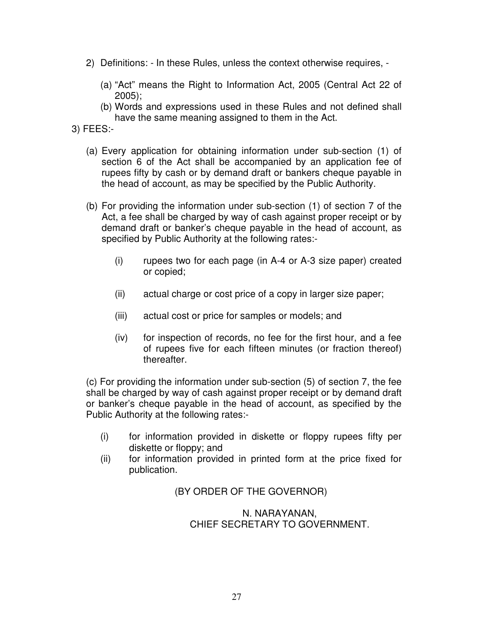- 2) Definitions: In these Rules, unless the context otherwise requires,
	- (a) "Act" means the Right to Information Act, 2005 (Central Act 22 of 2005);
	- (b) Words and expressions used in these Rules and not defined shall have the same meaning assigned to them in the Act.
- 3) FEES:-
	- (a) Every application for obtaining information under sub-section (1) of section 6 of the Act shall be accompanied by an application fee of rupees fifty by cash or by demand draft or bankers cheque payable in the head of account, as may be specified by the Public Authority.
	- (b) For providing the information under sub-section (1) of section 7 of the Act, a fee shall be charged by way of cash against proper receipt or by demand draft or banker's cheque payable in the head of account, as specified by Public Authority at the following rates:-
		- $(i)$  or copied; rupees two for each page (in A-4 or A-3 size paper) created
		- $(ii)$ actual charge or cost price of a copy in larger size paper;
		- $(iii)$ actual cost or price for samples or models; and
		- $(iv)$  of rupees five for each fifteen minutes (or fraction thereof) for inspection of records, no fee for the first hour, and a fee thereafter.

 (c) For providing the information under sub-section (5) of section 7, the fee shall be charged by way of cash against proper receipt or by demand draft or banker's cheque payable in the head of account, as specified by the Public Authority at the following rates:-

- $(i)$  diskette or floppy; and for information provided in diskette or floppy rupees fifty per
- $(ii)$ for information provided in printed form at the price fixed for publication.

(BY ORDER OF THE GOVERNOR)

## CHIEF SECRETARY TO GOVERNMENT. N. NARAYANAN,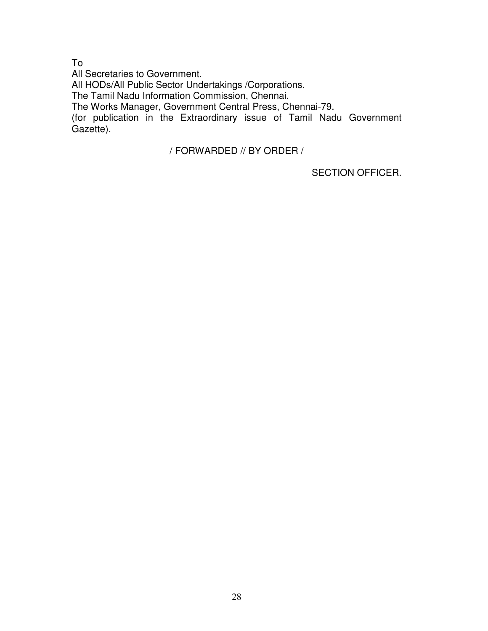To

 All Secretaries to Government. The Works Manager, Government Central Press, Chennai-79. (for publication in the Extraordinary issue of Tamil Nadu Government All HODs/All Public Sector Undertakings /Corporations. The Tamil Nadu Information Commission, Chennai. Gazette).

/ FORWARDED // BY ORDER /

SECTION OFFICER.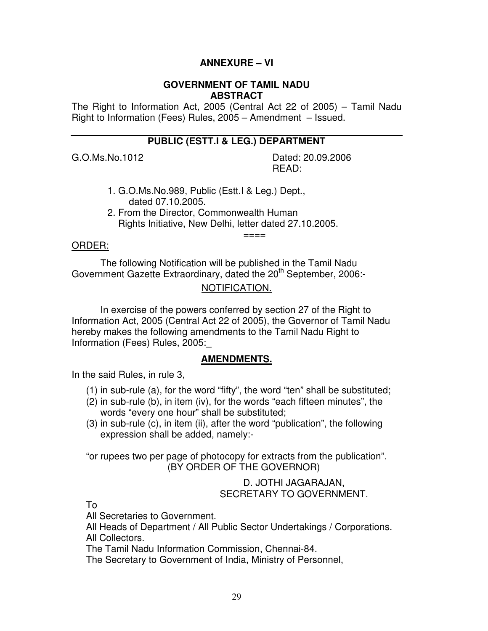## **ANNEXURE – VI**

#### **GOVERNMENT OF TAMIL NADU ABSTRACT**

 The Right to Information Act, 2005 (Central Act 22 of 2005) – Tamil Nadu Right to Information (Fees) Rules, 2005 – Amendment – Issued.

## **PUBLIC (ESTT.I & LEG.) DEPARTMENT**

G.O.Ms.No.1012

Dated: 20.09.2006 READ:

- 1. G.O.Ms.No.989, Public (Estt.I & Leg.) Dept., dated 07.10.2005.
- 2. From the Director, Commonwealth Human Rights Initiative, New Delhi, letter dated 27.10.2005.

# ==== ORDER:

Government Gazette Extraordinary, dated the 20<sup>th</sup> September, 2006:-The following Notification will be published in the Tamil Nadu

## NOTIFICATION.

 $=$  $=$  $=$  $=$ 

 Information Act, 2005 (Central Act 22 of 2005), the Governor of Tamil Nadu hereby makes the following amendments to the Tamil Nadu Right to Information (Fees) Rules, 2005:\_ In exercise of the powers conferred by section 27 of the Right to

#### **AMENDMENTS.**

In the said Rules, in rule 3,

- (1) in sub-rule (a), for the word "fifty", the word "ten" shall be substituted;
- (2) in sub-rule (b), in item (iv), for the words "each fifteen minutes", the words "every one hour" shall be substituted;
- (3) in sub-rule (c), in item (ii), after the word "publication", the following expression shall be added, namely:-

 "or rupees two per page of photocopy for extracts from the publication". (BY ORDER OF THE GOVERNOR)

## D. JOTHI JAGARAJAN, SECRETARY TO GOVERNMENT.

To

All Secretaries to Government.

 All Heads of Department / All Public Sector Undertakings / Corporations. All Collectors.

The Tamil Nadu Information Commission, Chennai-84.

The Secretary to Government of India, Ministry of Personnel,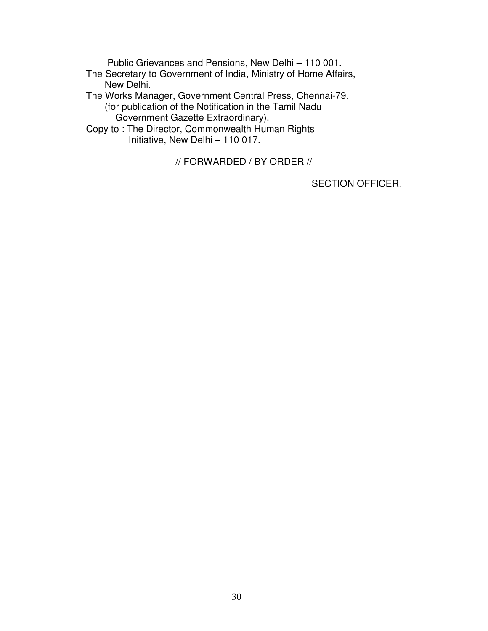Public Grievances and Pensions, New Delhi – 110 001.

- The Secretary to Government of India, Ministry of Home Affairs, New Delhi.
- The Works Manager, Government Central Press, Chennai-79. (for publication of the Notification in the Tamil Nadu Government Gazette Extraordinary).
- Copy to : The Director, Commonwealth Human Rights Initiative, New Delhi – 110 017.

// FORWARDED / BY ORDER //

SECTION OFFICER.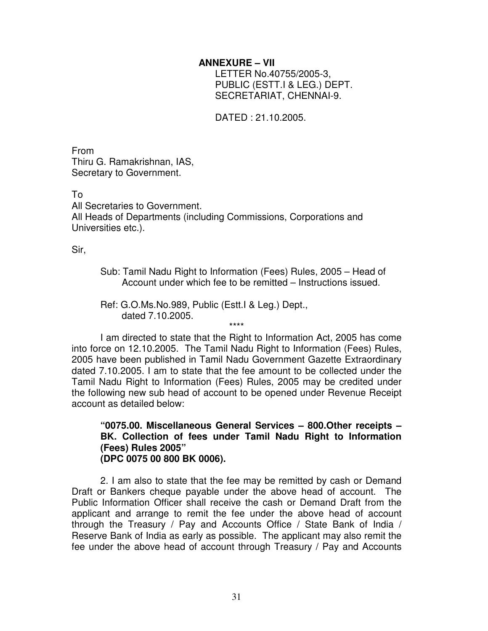## **ANNEXURE – VII**

 PUBLIC (ESTT.I & LEG.) DEPT. LETTER No.40755/2005-3, SECRETARIAT, CHENNAI-9.

DATED : 21.10.2005.

From From<br>Thiru G. Ramakrishnan, IAS, Secretary to Government.

To

 All Secretaries to Government. All Heads of Departments (including Commissions, Corporations and Universities etc.).

Sir,

 Sub: Tamil Nadu Right to Information (Fees) Rules, 2005 – Head of Account under which fee to be remitted – Instructions issued.

 Ref: G.O.Ms.No.989, Public (Estt.I & Leg.) Dept., dated 7.10.2005. \*\*\*\*

 into force on 12.10.2005. The Tamil Nadu Right to Information (Fees) Rules, 2005 have been published in Tamil Nadu Government Gazette Extraordinary dated 7.10.2005. I am to state that the fee amount to be collected under the Tamil Nadu Right to Information (Fees) Rules, 2005 may be credited under the following new sub head of account to be opened under Revenue Receipt account as detailed below: I am directed to state that the Right to Information Act, 2005 has come

 **"0075.00. Miscellaneous General Services – 800.Other receipts – BK. Collection of fees under Tamil Nadu Right to Information (Fees) Rules 2005" (DPC 0075 00 800 BK 0006).** 

 Draft or Bankers cheque payable under the above head of account. The Public Information Officer shall receive the cash or Demand Draft from the applicant and arrange to remit the fee under the above head of account through the Treasury / Pay and Accounts Office / State Bank of India / Reserve Bank of India as early as possible. The applicant may also remit the fee under the above head of account through Treasury / Pay and Accounts 2. I am also to state that the fee may be remitted by cash or Demand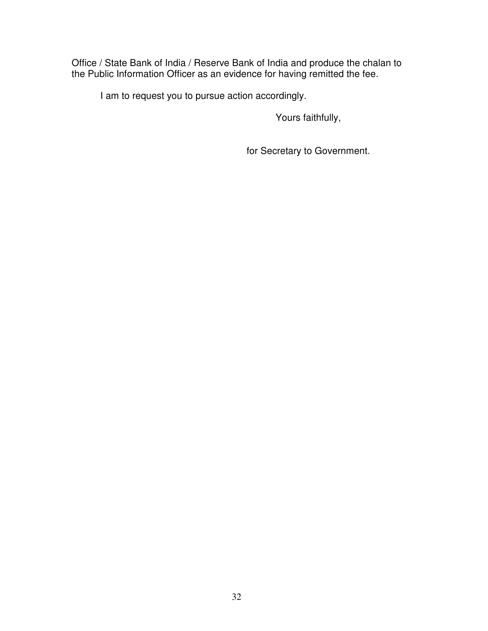Office / State Bank of India / Reserve Bank of India and produce the chalan to the Public Information Officer as an evidence for having remitted the fee.

I am to request you to pursue action accordingly.

Yours faithfully,

for Secretary to Government.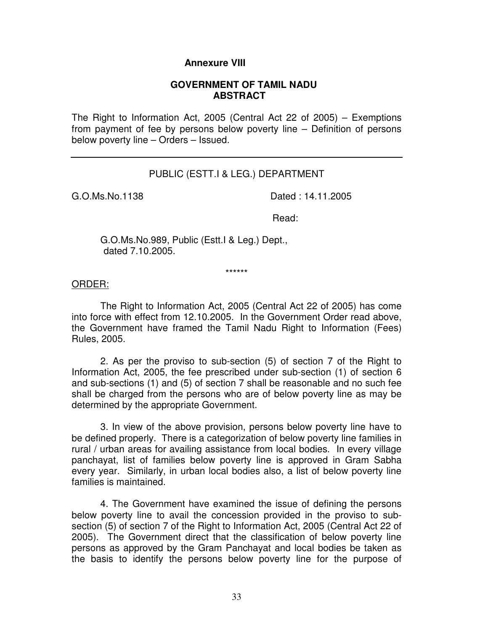## **Annexure VIII**

#### **GOVERNMENT OF TAMIL NADU ABSTRACT**

 The Right to Information Act, 2005 (Central Act 22 of 2005) – Exemptions from payment of fee by persons below poverty line – Definition of persons below poverty line – Orders – Issued.

### PUBLIC (ESTT.I & LEG.) DEPARTMENT

G.O.Ms.No.1138

Dated : 14.11.2005

Read:

 G.O.Ms.No.989, Public (Estt.I & Leg.) Dept., dated 7.10.2005.

# \*\*\*\*\*\* ORDER:

 into force with effect from 12.10.2005. In the Government Order read above, the Government have framed the Tamil Nadu Right to Information (Fees) Rules, 2005. The Right to Information Act, 2005 (Central Act 22 of 2005) has come

 Information Act, 2005, the fee prescribed under sub-section (1) of section 6 and sub-sections (1) and (5) of section 7 shall be reasonable and no such fee shall be charged from the persons who are of below poverty line as may be determined by the appropriate Government. 2. As per the proviso to sub-section (5) of section 7 of the Right to

 be defined properly. There is a categorization of below poverty line families in rural / urban areas for availing assistance from local bodies. In every village panchayat, list of families below poverty line is approved in Gram Sabha every year. Similarly, in urban local bodies also, a list of below poverty line families is maintained. 3. In view of the above provision, persons below poverty line have to

 below poverty line to avail the concession provided in the proviso to sub- section (5) of section 7 of the Right to Information Act, 2005 (Central Act 22 of 2005). The Government direct that the classification of below poverty line persons as approved by the Gram Panchayat and local bodies be taken as the basis to identify the persons below poverty line for the purpose of 4. The Government have examined the issue of defining the persons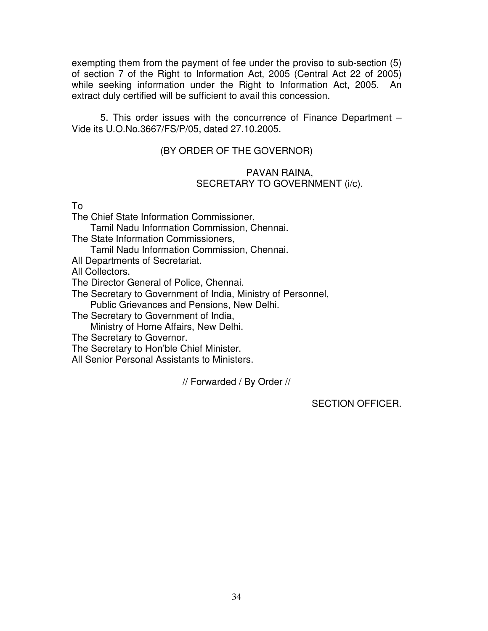exempting them from the payment of fee under the proviso to sub-section (5) of section 7 of the Right to Information Act, 2005 (Central Act 22 of 2005) while seeking information under the Right to Information Act, 2005. An extract duly certified will be sufficient to avail this concession.

 Vide its U.O.No.3667/FS/P/05, dated 27.10.2005. 5. This order issues with the concurrence of Finance Department –

## (BY ORDER OF THE GOVERNOR)

## PAVAN RAINA, SECRETARY TO GOVERNMENT (i/c).

To

The Chief State Information Commissioner,

Tamil Nadu Information Commission, Chennai.

The State Information Commissioners,

Tamil Nadu Information Commission, Chennai.

All Departments of Secretariat.

All Collectors.

The Director General of Police, Chennai.

 The Secretary to Government of India, Ministry of Personnel, Public Grievances and Pensions, New Delhi.

The Secretary to Government of India,

Ministry of Home Affairs, New Delhi.

The Secretary to Governor.

The Secretary to Hon'ble Chief Minister.

All Senior Personal Assistants to Ministers.

// Forwarded / By Order //

SECTION OFFICER.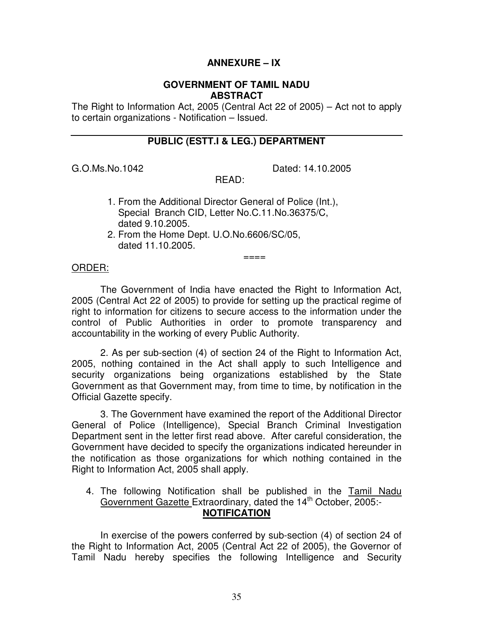## **ANNEXURE – IX**

#### **GOVERNMENT OF TAMIL NADU ABSTRACT**

 The Right to Information Act, 2005 (Central Act 22 of 2005) – Act not to apply to certain organizations - Notification – Issued.

## **PUBLIC (ESTT.I & LEG.) DEPARTMENT**

G.O.Ms.No.1042

Dated: 14.10.2005

READ:

- 1. From the Additional Director General of Police (Int.), Special Branch CID, Letter No.C.11.No.36375/C, dated 9.10.2005.
- 2. From the Home Dept. U.O.No.6606/SC/05, dated 11.10.2005.

# ==== ORDER:

 2005 (Central Act 22 of 2005) to provide for setting up the practical regime of right to information for citizens to secure access to the information under the control of Public Authorities in order to promote transparency and accountability in the working of every Public Authority. The Government of India have enacted the Right to Information Act,

 2005, nothing contained in the Act shall apply to such Intelligence and security organizations being organizations established by the State Government as that Government may, from time to time, by notification in the Official Gazette specify. 2. As per sub-section (4) of section 24 of the Right to Information Act,

 General of Police (Intelligence), Special Branch Criminal Investigation Department sent in the letter first read above. After careful consideration, the Government have decided to specify the organizations indicated hereunder in the notification as those organizations for which nothing contained in the Right to Information Act, 2005 shall apply. 3. The Government have examined the report of the Additional Director

4. The following Notification shall be published in the Tamil Nadu Government Gazette Extraordinary, dated the 14<sup>th</sup> October, 2005:-**NOTIFICATION** 

 the Right to Information Act, 2005 (Central Act 22 of 2005), the Governor of Tamil Nadu hereby specifies the following Intelligence and Security In exercise of the powers conferred by sub-section (4) of section 24 of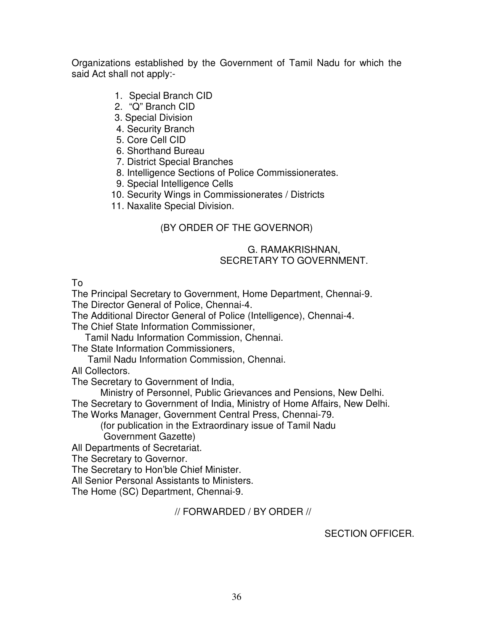Organizations established by the Government of Tamil Nadu for which the said Act shall not apply:-

- 1. Special Branch CID
- 2. "Q" Branch CID
- 3. Special Division
- 4. Security Branch
- 5. Core Cell CID
- 6. Shorthand Bureau
- 7. District Special Branches
- 8. Intelligence Sections of Police Commissionerates.
- 9. Special Intelligence Cells
- 10. Security Wings in Commissionerates / Districts
- 11. Naxalite Special Division.

## (BY ORDER OF THE GOVERNOR)

## SECRETARY TO GOVERNMENT. G. RAMAKRISHNAN,

To

The Principal Secretary to Government, Home Department, Chennai-9.

The Director General of Police, Chennai-4.

The Additional Director General of Police (Intelligence), Chennai-4.

The Chief State Information Commissioner,

Tamil Nadu Information Commission, Chennai.

The State Information Commissioners,

Tamil Nadu Information Commission, Chennai.

All Collectors.

The Secretary to Government of India,

Ministry of Personnel, Public Grievances and Pensions, New Delhi.

The Secretary to Government of India, Ministry of Home Affairs, New Delhi.

The Works Manager, Government Central Press, Chennai-79.

(for publication in the Extraordinary issue of Tamil Nadu Government Gazette)

All Departments of Secretariat.

The Secretary to Governor.

The Secretary to Hon'ble Chief Minister.

All Senior Personal Assistants to Ministers.

The Home (SC) Department, Chennai-9.

// FORWARDED / BY ORDER //

SECTION OFFICER.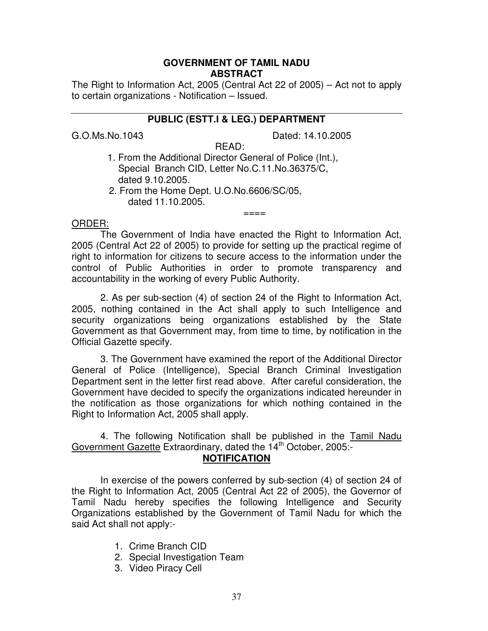#### **GOVERNMENT OF TAMIL NADU ABSTRACT**

 The Right to Information Act, 2005 (Central Act 22 of 2005) – Act not to apply to certain organizations - Notification – Issued.

#### **PUBLIC (ESTT.I & LEG.) DEPARTMENT**

G.O.Ms.No.1043

Dated: 14.10.2005

- 1. From the Additional Director General of Police (Int.), READ: Special Branch CID, Letter No.C.11.No.36375/C, dated 9.10.2005.
- 2. From the Home Dept. U.O.No.6606/SC/05, dated 11.10.2005.

## ==== ORDER:

 The Government of India have enacted the Right to Information Act, 2005 (Central Act 22 of 2005) to provide for setting up the practical regime of right to information for citizens to secure access to the information under the control of Public Authorities in order to promote transparency and accountability in the working of every Public Authority.

 $=$  $=$  $=$  $=$ 

 2005, nothing contained in the Act shall apply to such Intelligence and security organizations being organizations established by the State Government as that Government may, from time to time, by notification in the Official Gazette specify. 2. As per sub-section (4) of section 24 of the Right to Information Act,

 General of Police (Intelligence), Special Branch Criminal Investigation Department sent in the letter first read above. After careful consideration, the Government have decided to specify the organizations indicated hereunder in the notification as those organizations for which nothing contained in the Right to Information Act, 2005 shall apply. 3. The Government have examined the report of the Additional Director

Government Gazette Extraordinary, dated the 14<sup>th</sup> October, 2005:-4. The following Notification shall be published in the Tamil Nadu

#### **NOTIFICATION**

 the Right to Information Act, 2005 (Central Act 22 of 2005), the Governor of Tamil Nadu hereby specifies the following Intelligence and Security Organizations established by the Government of Tamil Nadu for which the said Act shall not apply:- In exercise of the powers conferred by sub-section (4) of section 24 of

- 1. Crime Branch CID
- 2. Special Investigation Team
- 3. Video Piracy Cell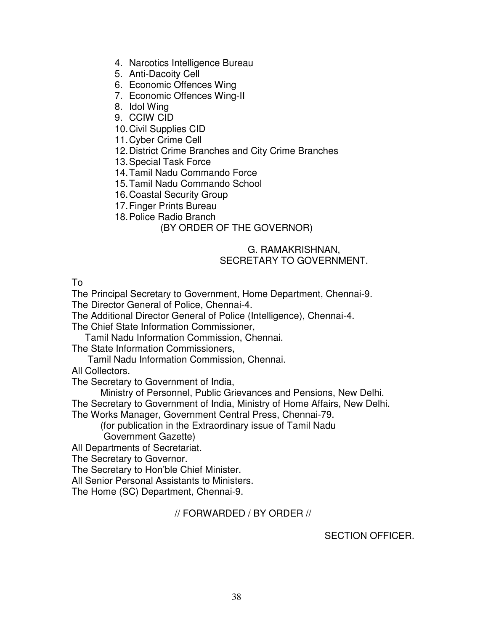- 4. Narcotics Intelligence Bureau
- 5. Anti-Dacoity Cell
- 6. Economic Offences Wing
- 7. Economic Offences Wing-II
- 8. Idol Wing
- 9. CCIW CID
- 10.Civil Supplies CID
- 11.Cyber Crime Cell
- 12.District Crime Branches and City Crime Branches
- 13.Special Task Force
- 14.Tamil Nadu Commando Force
- 15.Tamil Nadu Commando School
- 16.Coastal Security Group
- 17.Finger Prints Bureau
- 18.Police Radio Branch

### (BY ORDER OF THE GOVERNOR)

#### SECRETARY TO GOVERNMENT. G. RAMAKRISHNAN,

To

The Principal Secretary to Government, Home Department, Chennai-9.

The Director General of Police, Chennai-4.

The Additional Director General of Police (Intelligence), Chennai-4.

The Chief State Information Commissioner,

Tamil Nadu Information Commission, Chennai.

The State Information Commissioners,

Tamil Nadu Information Commission, Chennai.

All Collectors.

The Secretary to Government of India,

Ministry of Personnel, Public Grievances and Pensions, New Delhi.

The Secretary to Government of India, Ministry of Home Affairs, New Delhi.

The Works Manager, Government Central Press, Chennai-79.

(for publication in the Extraordinary issue of Tamil Nadu Government Gazette)

All Departments of Secretariat.

The Secretary to Governor.

The Secretary to Hon'ble Chief Minister.

All Senior Personal Assistants to Ministers.

The Home (SC) Department, Chennai-9.

#### // FORWARDED / BY ORDER //

SECTION OFFICER.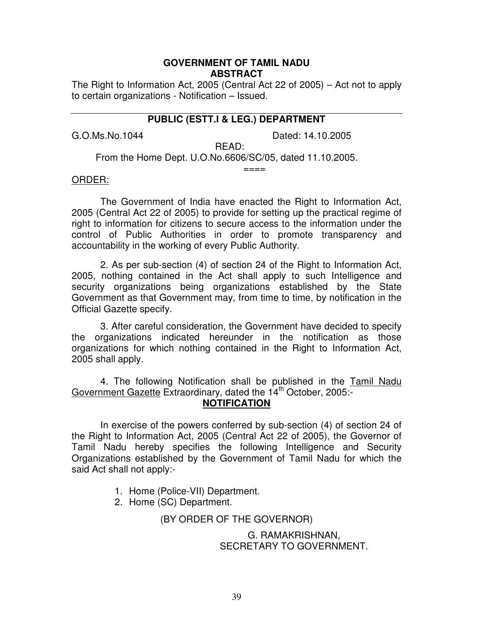#### **GOVERNMENT OF TAMIL NADU ABSTRACT**

 The Right to Information Act, 2005 (Central Act 22 of 2005) – Act not to apply to certain organizations - Notification – Issued.

### **PUBLIC (ESTT.I & LEG.) DEPARTMENT**

G.O.Ms.No.1044

Dated: 14.10.2005

READ:

 $=$  $=$  $=$  $=$ 

From the Home Dept. U.O.No.6606/SC/05, dated 11.10.2005.

## ==== ORDER:

 The Government of India have enacted the Right to Information Act, 2005 (Central Act 22 of 2005) to provide for setting up the practical regime of right to information for citizens to secure access to the information under the control of Public Authorities in order to promote transparency and accountability in the working of every Public Authority.

 2005, nothing contained in the Act shall apply to such Intelligence and security organizations being organizations established by the State Government as that Government may, from time to time, by notification in the Official Gazette specify. 2. As per sub-section (4) of section 24 of the Right to Information Act,

 the organizations indicated hereunder in the notification as those organizations for which nothing contained in the Right to Information Act, 2005 shall apply. 3. After careful consideration, the Government have decided to specify

Government Gazette Extraordinary, dated the 14<sup>th</sup> October, 2005:-4. The following Notification shall be published in the Tamil Nadu **NOTIFICATION** 

 the Right to Information Act, 2005 (Central Act 22 of 2005), the Governor of Tamil Nadu hereby specifies the following Intelligence and Security Organizations established by the Government of Tamil Nadu for which the said Act shall not apply:- In exercise of the powers conferred by sub-section (4) of section 24 of

- 1. Home (Police-VII) Department.
- 2. Home (SC) Department.

(BY ORDER OF THE GOVERNOR)

 SECRETARY TO GOVERNMENT. G. RAMAKRISHNAN,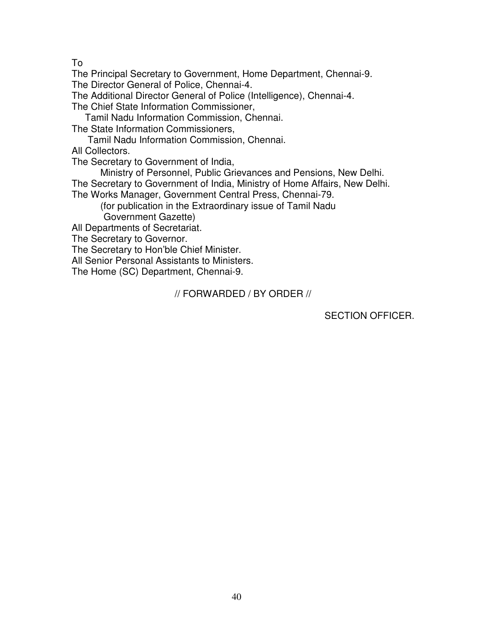To

The Principal Secretary to Government, Home Department, Chennai-9.

The Director General of Police, Chennai-4.

The Additional Director General of Police (Intelligence), Chennai-4.

The Chief State Information Commissioner,

Tamil Nadu Information Commission, Chennai.

The State Information Commissioners,

Tamil Nadu Information Commission, Chennai.

All Collectors.

The Secretary to Government of India,

Ministry of Personnel, Public Grievances and Pensions, New Delhi.

The Secretary to Government of India, Ministry of Home Affairs, New Delhi.

The Works Manager, Government Central Press, Chennai-79.

(for publication in the Extraordinary issue of Tamil Nadu

Government Gazette)

All Departments of Secretariat.

The Secretary to Governor.

The Secretary to Hon'ble Chief Minister.

All Senior Personal Assistants to Ministers.

The Home (SC) Department, Chennai-9.

// FORWARDED / BY ORDER //

SECTION OFFICER.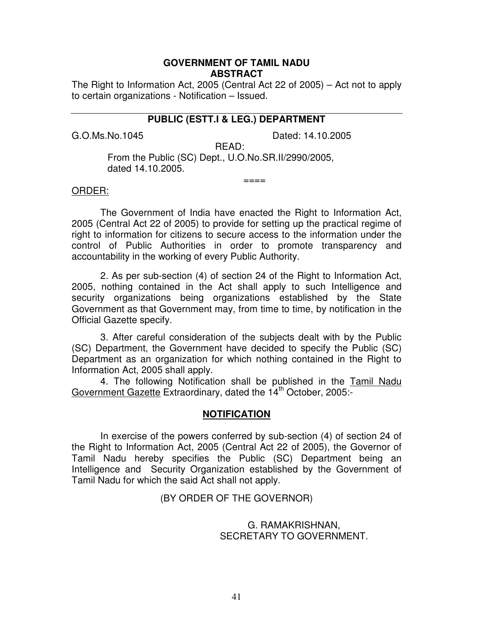#### **GOVERNMENT OF TAMIL NADU ABSTRACT**

 The Right to Information Act, 2005 (Central Act 22 of 2005) – Act not to apply to certain organizations - Notification – Issued.

#### **PUBLIC (ESTT.I & LEG.) DEPARTMENT**

G.O.Ms.No.1045

Dated: 14.10.2005

 From the Public (SC) Dept., U.O.No.SR.II/2990/2005, READ: dated 14.10.2005.

## ==== ORDER:

 The Government of India have enacted the Right to Information Act, 2005 (Central Act 22 of 2005) to provide for setting up the practical regime of right to information for citizens to secure access to the information under the control of Public Authorities in order to promote transparency and accountability in the working of every Public Authority.

 $== ==$ 

 2005, nothing contained in the Act shall apply to such Intelligence and security organizations being organizations established by the State Government as that Government may, from time to time, by notification in the Official Gazette specify. 2. As per sub-section (4) of section 24 of the Right to Information Act,

 (SC) Department, the Government have decided to specify the Public (SC) Department as an organization for which nothing contained in the Right to Information Act, 2005 shall apply. 3. After careful consideration of the subjects dealt with by the Public

4. The following Notification shall be published in the Tamil Nadu Government Gazette Extraordinary, dated the 14<sup>th</sup> October, 2005:-

#### **NOTIFICATION**

 the Right to Information Act, 2005 (Central Act 22 of 2005), the Governor of Tamil Nadu hereby specifies the Public (SC) Department being an Intelligence and Security Organization established by the Government of Tamil Nadu for which the said Act shall not apply. In exercise of the powers conferred by sub-section (4) of section 24 of

#### (BY ORDER OF THE GOVERNOR)

#### SECRETARY TO GOVERNMENT. G. RAMAKRISHNAN,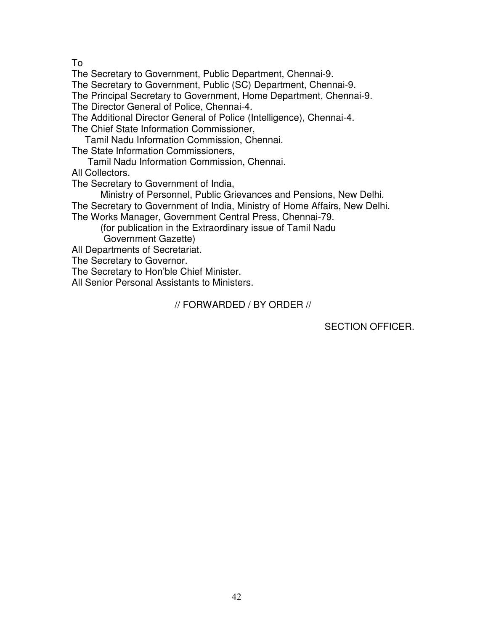To

The Secretary to Government, Public Department, Chennai-9.

The Secretary to Government, Public (SC) Department, Chennai-9.

The Principal Secretary to Government, Home Department, Chennai-9.

The Director General of Police, Chennai-4.

The Additional Director General of Police (Intelligence), Chennai-4.

The Chief State Information Commissioner,

Tamil Nadu Information Commission, Chennai.

The State Information Commissioners,

Tamil Nadu Information Commission, Chennai.

All Collectors.

The Secretary to Government of India,

 Ministry of Personnel, Public Grievances and Pensions, New Delhi. The Secretary to Government of India, Ministry of Home Affairs, New Delhi. The Works Manager, Government Central Press, Chennai-79.

(for publication in the Extraordinary issue of Tamil Nadu Government Gazette)

All Departments of Secretariat.

The Secretary to Governor.

The Secretary to Hon'ble Chief Minister.

All Senior Personal Assistants to Ministers.

// FORWARDED / BY ORDER //

SECTION OFFICER.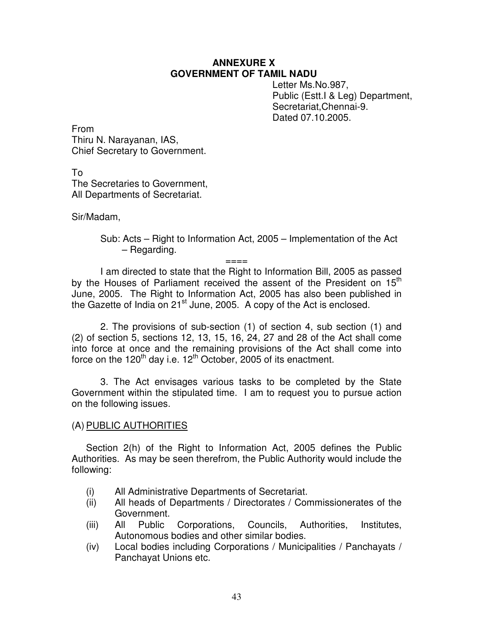#### **ANNEXURE X GOVERNMENT OF TAMIL NADU**

 Public (Estt.I & Leg) Department, Letter Ms.No.987, Secretariat,Chennai-9. Dated 07.10.2005.

 Thiru N. Narayanan, IAS, Chief Secretary to Government. From

 The Secretaries to Government, All Departments of Secretariat. To

Sir/Madam,

 Sub: Acts – Right to Information Act, 2005 – Implementation of the Act – Regarding.

====

by the Houses of Parliament received the assent of the President on 15<sup>th</sup> June, 2005. The Right to Information Act, 2005 has also been published in the Gazette of India on 21<sup>st</sup> June, 2005. A copy of the Act is enclosed. I am directed to state that the Right to Information Bill, 2005 as passed

 (2) of section 5, sections 12, 13, 15, 16, 24, 27 and 28 of the Act shall come into force at once and the remaining provisions of the Act shall come into force on the 120<sup>th</sup> day i.e. 12<sup>th</sup> October, 2005 of its enactment. 2. The provisions of sub-section (1) of section 4, sub section (1) and

 Government within the stipulated time. I am to request you to pursue action on the following issues. 3. The Act envisages various tasks to be completed by the State

#### (A) PUBLIC AUTHORITIES

 Section 2(h) of the Right to Information Act, 2005 defines the Public Authorities. As may be seen therefrom, the Public Authority would include the following:

- $(i)$ All Administrative Departments of Secretariat.
- $(ii)$ Government. All heads of Departments / Directorates / Commissionerates of the
- $(iii)$  Autonomous bodies and other similar bodies. Government. (iii) All Public Corporations, Councils, Authorities, Institutes,
- $(iv)$  Panchayat Unions etc. Local bodies including Corporations / Municipalities / Panchayats /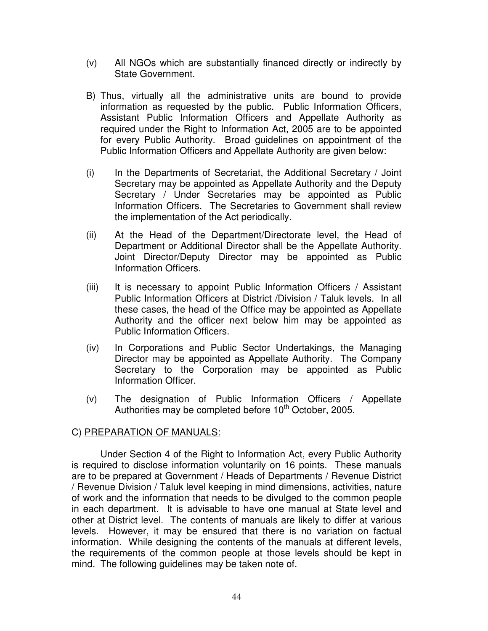- $(v)$ All NGOs which are substantially financed directly or indirectly by State Government.
- B) Thus, virtually all the administrative units are bound to provide information as requested by the public. Public Information Officers, Assistant Public Information Officers and Appellate Authority as required under the Right to Information Act, 2005 are to be appointed for every Public Authority. Broad guidelines on appointment of the Public Information Officers and Appellate Authority are given below:
- $(i)$  Secretary may be appointed as Appellate Authority and the Deputy Secretary / Under Secretaries may be appointed as Public Information Officers. The Secretaries to Government shall review the implementation of the Act periodically. In the Departments of Secretariat, the Additional Secretary / Joint
- $(ii)$  Department or Additional Director shall be the Appellate Authority. Joint Director/Deputy Director may be appointed as Public Information Officers. At the Head of the Department/Directorate level, the Head of
- $(iii)$  Public Information Officers at District /Division / Taluk levels. In all these cases, the head of the Office may be appointed as Appellate Authority and the officer next below him may be appointed as Public Information Officers. It is necessary to appoint Public Information Officers / Assistant
- $(iv)$  Director may be appointed as Appellate Authority. The Company Secretary to the Corporation may be appointed as Public Information Officer. In Corporations and Public Sector Undertakings, the Managing
- $(v)$ Authorities may be completed before  $10<sup>th</sup>$  October, 2005. The designation of Public Information Officers / Appellate

### C) PREPARATION OF MANUALS:

 Under Section 4 of the Right to Information Act, every Public Authority is required to disclose information voluntarily on 16 points. These manuals are to be prepared at Government / Heads of Departments / Revenue District / Revenue Division / Taluk level keeping in mind dimensions, activities, nature of work and the information that needs to be divulged to the common people in each department. It is advisable to have one manual at State level and other at District level. The contents of manuals are likely to differ at various levels. However, it may be ensured that there is no variation on factual information. While designing the contents of the manuals at different levels, the requirements of the common people at those levels should be kept in mind. The following guidelines may be taken note of.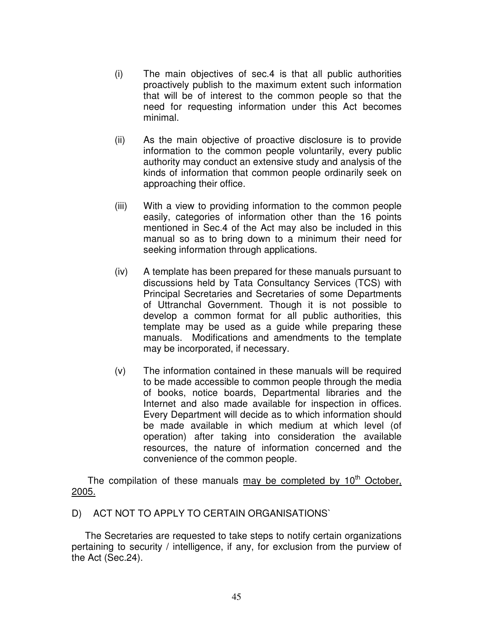- $(i)$  proactively publish to the maximum extent such information that will be of interest to the common people so that the need for requesting information under this Act becomes The main objectives of sec.4 is that all public authorities minimal.
- $(ii)$  information to the common people voluntarily, every public authority may conduct an extensive study and analysis of the kinds of information that common people ordinarily seek on approaching their office. As the main objective of proactive disclosure is to provide
- $(iii)$  easily, categories of information other than the 16 points mentioned in Sec.4 of the Act may also be included in this manual so as to bring down to a minimum their need for seeking information through applications. With a view to providing information to the common people
- $(iv)$  discussions held by Tata Consultancy Services (TCS) with Principal Secretaries and Secretaries of some Departments of Uttranchal Government. Though it is not possible to develop a common format for all public authorities, this template may be used as a guide while preparing these manuals. Modifications and amendments to the template may be incorporated, if necessary. A template has been prepared for these manuals pursuant to
- $(v)$  to be made accessible to common people through the media of books, notice boards, Departmental libraries and the Internet and also made available for inspection in offices. Every Department will decide as to which information should be made available in which medium at which level (of operation) after taking into consideration the available resources, the nature of information concerned and the convenience of the common people. The information contained in these manuals will be required

2005. The compilation of these manuals may be completed by  $10<sup>th</sup>$  October,

# <u>2005.</u><br>D) ACT NOT TO APPLY TO CERTAIN ORGANISATIONS`

 pertaining to security / intelligence, if any, for exclusion from the purview of the Act (Sec.24). The Secretaries are requested to take steps to notify certain organizations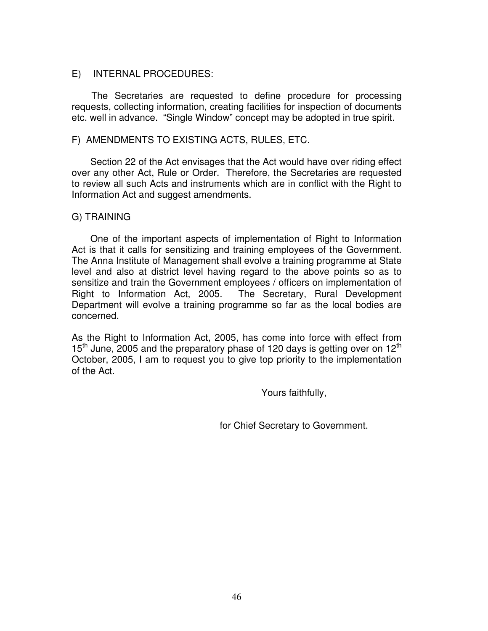#### E) INTERNAL PROCEDURES:

 requests, collecting information, creating facilities for inspection of documents etc. well in advance. "Single Window" concept may be adopted in true spirit. The Secretaries are requested to define procedure for processing

#### F) AMENDMENTS TO EXISTING ACTS, RULES, ETC.

 over any other Act, Rule or Order. Therefore, the Secretaries are requested to review all such Acts and instruments which are in conflict with the Right to Information Act and suggest amendments. Section 22 of the Act envisages that the Act would have over riding effect

#### G) TRAINING

 Act is that it calls for sensitizing and training employees of the Government. The Anna Institute of Management shall evolve a training programme at State level and also at district level having regard to the above points so as to sensitize and train the Government employees / officers on implementation of Right to Information Act, 2005. Department will evolve a training programme so far as the local bodies are One of the important aspects of implementation of Right to Information The Secretary, Rural Development concerned.

 As the Right to Information Act, 2005, has come into force with effect from 15<sup>th</sup> June, 2005 and the preparatory phase of 120 days is getting over on 12<sup>th</sup> October, 2005, I am to request you to give top priority to the implementation of the Act.

Yours faithfully,

for Chief Secretary to Government.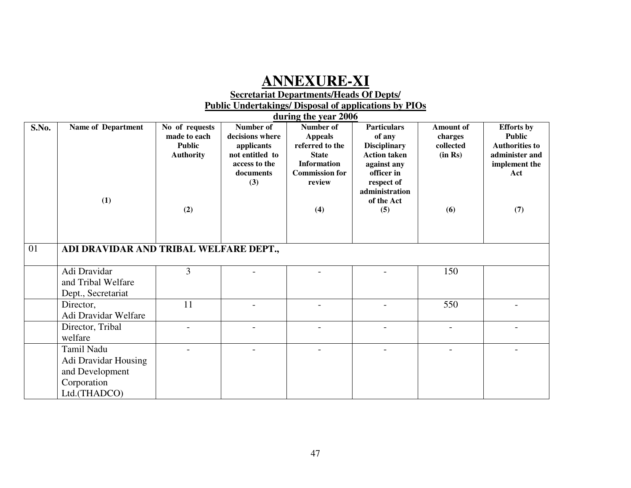## **ANNEXURE-XI**

#### **Secretariat Departments/Heads Of Depts/ Public Undertakings/ Disposal of applications by PIOs**

|       |                                                                                      |                                                                            |                                                                                                    | during the year 2006                                                                                                           |                                                                                                                                                              |                                                            |                                                                                                              |
|-------|--------------------------------------------------------------------------------------|----------------------------------------------------------------------------|----------------------------------------------------------------------------------------------------|--------------------------------------------------------------------------------------------------------------------------------|--------------------------------------------------------------------------------------------------------------------------------------------------------------|------------------------------------------------------------|--------------------------------------------------------------------------------------------------------------|
| S.No. | <b>Name of Department</b><br>(1)                                                     | No of requests<br>made to each<br><b>Public</b><br><b>Authority</b><br>(2) | Number of<br>decisions where<br>applicants<br>not entitled to<br>access to the<br>documents<br>(3) | Number of<br><b>Appeals</b><br>referred to the<br><b>State</b><br><b>Information</b><br><b>Commission for</b><br>review<br>(4) | <b>Particulars</b><br>of any<br><b>Disciplinary</b><br><b>Action taken</b><br>against any<br>officer in<br>respect of<br>administration<br>of the Act<br>(5) | <b>Amount of</b><br>charges<br>collected<br>(in Rs)<br>(6) | <b>Efforts</b> by<br><b>Public</b><br><b>Authorities to</b><br>administer and<br>implement the<br>Act<br>(7) |
| 01    | ADI DRAVIDAR AND TRIBAL WELFARE DEPT.,                                               |                                                                            |                                                                                                    |                                                                                                                                |                                                                                                                                                              |                                                            |                                                                                                              |
|       | Adi Dravidar<br>and Tribal Welfare<br>Dept., Secretariat                             | 3                                                                          |                                                                                                    |                                                                                                                                |                                                                                                                                                              | 150                                                        |                                                                                                              |
|       | Director,<br>Adi Dravidar Welfare                                                    | 11                                                                         |                                                                                                    |                                                                                                                                |                                                                                                                                                              | 550                                                        |                                                                                                              |
|       | Director, Tribal<br>welfare                                                          |                                                                            |                                                                                                    |                                                                                                                                |                                                                                                                                                              |                                                            |                                                                                                              |
|       | Tamil Nadu<br>Adi Dravidar Housing<br>and Development<br>Corporation<br>Ltd.(THADCO) |                                                                            |                                                                                                    |                                                                                                                                |                                                                                                                                                              |                                                            |                                                                                                              |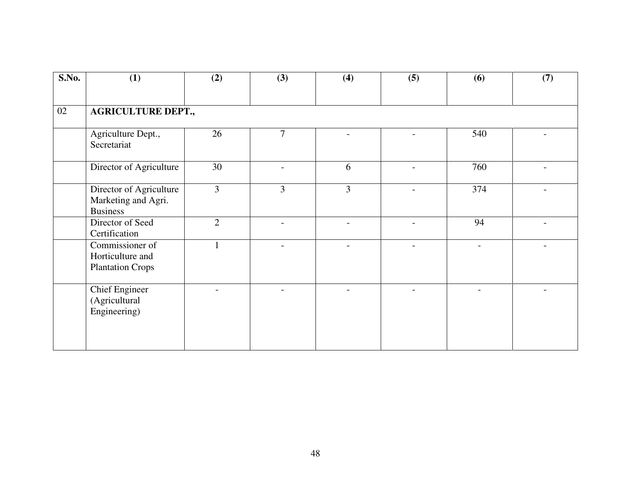| S.No. | (1)                                                               | (2)            | (3)            | (4)            | (5)            | (6) | (7) |
|-------|-------------------------------------------------------------------|----------------|----------------|----------------|----------------|-----|-----|
| 02    | <b>AGRICULTURE DEPT.,</b>                                         |                |                |                |                |     |     |
|       | Agriculture Dept.,<br>Secretariat                                 | 26             | $\overline{7}$ |                |                | 540 |     |
|       | Director of Agriculture                                           | 30             |                | 6              |                | 760 |     |
|       | Director of Agriculture<br>Marketing and Agri.<br><b>Business</b> | $\overline{3}$ | $\overline{3}$ | $\overline{3}$ |                | 374 |     |
|       | Director of Seed<br>Certification                                 | $\overline{2}$ |                | $\overline{a}$ | $\overline{a}$ | 94  |     |
|       | Commissioner of<br>Horticulture and<br><b>Plantation Crops</b>    |                |                |                |                |     |     |
|       | <b>Chief Engineer</b><br>(Agricultural<br>Engineering)            |                |                |                |                |     |     |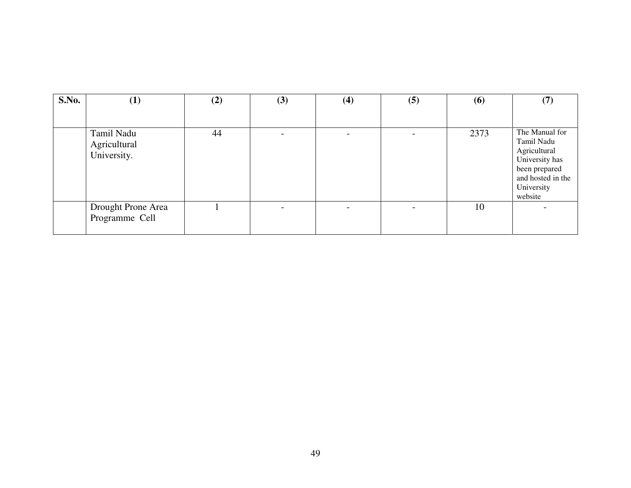| S.No. | $\bf(1)$                                  | (2) | (3) | (4) | (5) | (6)  | (7)                                                                                                                           |
|-------|-------------------------------------------|-----|-----|-----|-----|------|-------------------------------------------------------------------------------------------------------------------------------|
|       | Tamil Nadu<br>Agricultural<br>University. | 44  |     |     |     | 2373 | The Manual for<br>Tamil Nadu<br>Agricultural<br>University has<br>been prepared<br>and hosted in the<br>University<br>website |
|       | Drought Prone Area<br>Programme Cell      |     |     |     |     | 10   |                                                                                                                               |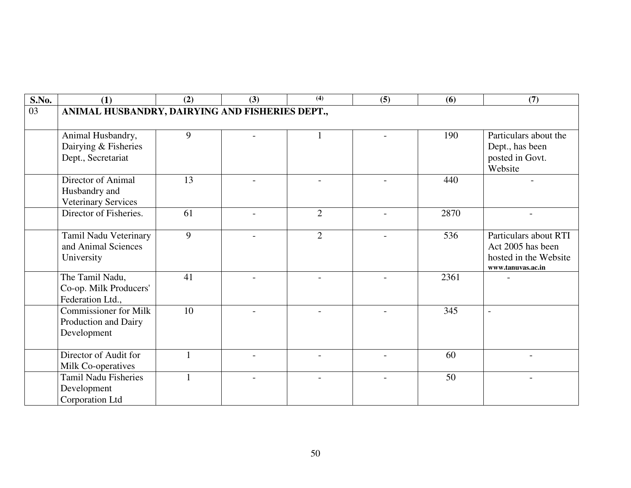| S.No. | (1)                                             | (2) | (3)                      | $\overline{(4)}$ | (5) | (6)  | (7)                                        |
|-------|-------------------------------------------------|-----|--------------------------|------------------|-----|------|--------------------------------------------|
| 03    | ANIMAL HUSBANDRY, DAIRYING AND FISHERIES DEPT., |     |                          |                  |     |      |                                            |
|       |                                                 |     |                          |                  |     |      |                                            |
|       | Animal Husbandry,                               | 9   |                          | $\mathbf{1}$     |     | 190  | Particulars about the                      |
|       | Dairying & Fisheries                            |     |                          |                  |     |      | Dept., has been                            |
|       | Dept., Secretariat                              |     |                          |                  |     |      | posted in Govt.                            |
|       |                                                 |     |                          |                  |     |      | Website                                    |
|       | Director of Animal                              | 13  |                          |                  |     | 440  |                                            |
|       | Husbandry and                                   |     |                          |                  |     |      |                                            |
|       | <b>Veterinary Services</b>                      |     |                          |                  |     |      |                                            |
|       | Director of Fisheries.                          | 61  |                          | $\overline{2}$   |     | 2870 |                                            |
|       |                                                 |     |                          |                  |     |      |                                            |
|       | Tamil Nadu Veterinary<br>and Animal Sciences    | 9   | $\overline{\phantom{0}}$ | 2                |     | 536  | Particulars about RTI<br>Act 2005 has been |
|       | University                                      |     |                          |                  |     |      | hosted in the Website                      |
|       |                                                 |     |                          |                  |     |      | www.tanuvas.ac.in                          |
|       | The Tamil Nadu,                                 | 41  |                          |                  |     | 2361 |                                            |
|       | Co-op. Milk Producers'                          |     |                          |                  |     |      |                                            |
|       | Federation Ltd.,                                |     |                          |                  |     |      |                                            |
|       | <b>Commissioner for Milk</b>                    | 10  |                          |                  |     | 345  | $\sim$                                     |
|       | Production and Dairy                            |     |                          |                  |     |      |                                            |
|       | Development                                     |     |                          |                  |     |      |                                            |
|       |                                                 |     |                          |                  |     |      |                                            |
|       | Director of Audit for                           |     |                          |                  |     | 60   |                                            |
|       | Milk Co-operatives                              |     |                          |                  |     |      |                                            |
|       | <b>Tamil Nadu Fisheries</b>                     |     |                          |                  |     | 50   |                                            |
|       | Development                                     |     |                          |                  |     |      |                                            |
|       | Corporation Ltd                                 |     |                          |                  |     |      |                                            |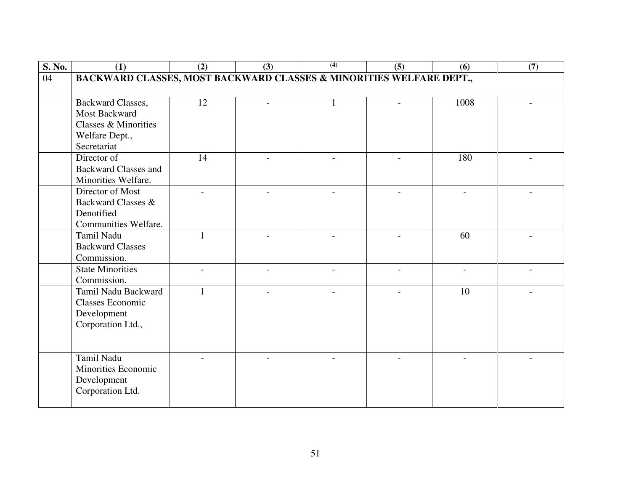| S. No. | (1)                                                                 | (2)            | (3) | (4) | (5) | (6)                      | (7) |
|--------|---------------------------------------------------------------------|----------------|-----|-----|-----|--------------------------|-----|
| 04     | BACKWARD CLASSES, MOST BACKWARD CLASSES & MINORITIES WELFARE DEPT., |                |     |     |     |                          |     |
|        |                                                                     |                |     |     |     |                          |     |
|        | Backward Classes,                                                   | 12             |     |     |     | 1008                     |     |
|        | Most Backward                                                       |                |     |     |     |                          |     |
|        | Classes & Minorities                                                |                |     |     |     |                          |     |
|        | Welfare Dept.,                                                      |                |     |     |     |                          |     |
|        | Secretariat                                                         |                |     |     |     |                          |     |
|        | Director of                                                         | 14             |     |     |     | 180                      |     |
|        | <b>Backward Classes and</b>                                         |                |     |     |     |                          |     |
|        | Minorities Welfare.                                                 |                |     |     |     |                          |     |
|        | Director of Most                                                    | $\overline{a}$ |     |     |     | $\overline{\phantom{a}}$ |     |
|        | Backward Classes &                                                  |                |     |     |     |                          |     |
|        | Denotified                                                          |                |     |     |     |                          |     |
|        | Communities Welfare.                                                |                |     |     |     |                          |     |
|        | Tamil Nadu                                                          | $\mathbf{1}$   |     |     |     | 60                       |     |
|        | <b>Backward Classes</b>                                             |                |     |     |     |                          |     |
|        | Commission.                                                         |                |     |     |     |                          |     |
|        | <b>State Minorities</b>                                             |                |     |     |     |                          |     |
|        | Commission.                                                         |                |     |     |     |                          |     |
|        | Tamil Nadu Backward                                                 | 1              |     |     |     | 10                       |     |
|        | <b>Classes Economic</b>                                             |                |     |     |     |                          |     |
|        | Development                                                         |                |     |     |     |                          |     |
|        | Corporation Ltd.,                                                   |                |     |     |     |                          |     |
|        |                                                                     |                |     |     |     |                          |     |
|        |                                                                     |                |     |     |     |                          |     |
|        | Tamil Nadu                                                          |                |     |     |     |                          |     |
|        | <b>Minorities Economic</b>                                          |                |     |     |     |                          |     |
|        | Development                                                         |                |     |     |     |                          |     |
|        | Corporation Ltd.                                                    |                |     |     |     |                          |     |
|        |                                                                     |                |     |     |     |                          |     |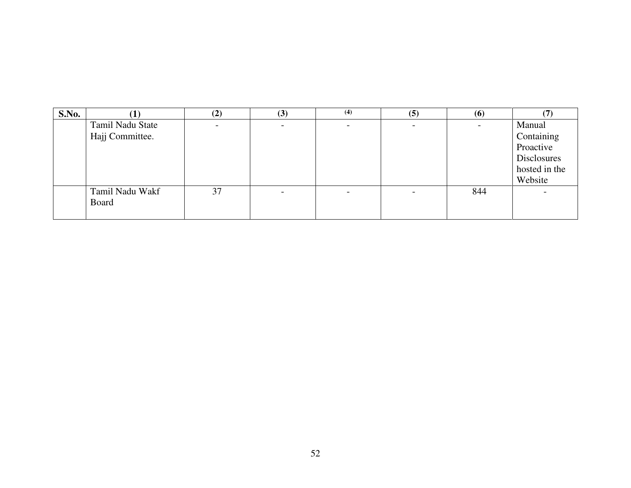| S.No. |                  | (2) | (3)                      | (4) | (5)                      | (6) |               |
|-------|------------------|-----|--------------------------|-----|--------------------------|-----|---------------|
|       | Tamil Nadu State |     |                          |     |                          |     | Manual        |
|       | Hajj Committee.  |     |                          |     |                          |     | Containing    |
|       |                  |     |                          |     |                          |     | Proactive     |
|       |                  |     |                          |     |                          |     | Disclosures   |
|       |                  |     |                          |     |                          |     | hosted in the |
|       |                  |     |                          |     |                          |     | Website       |
|       | Tamil Nadu Wakf  | 37  | $\overline{\phantom{0}}$ |     | $\overline{\phantom{0}}$ | 844 |               |
|       | Board            |     |                          |     |                          |     |               |
|       |                  |     |                          |     |                          |     |               |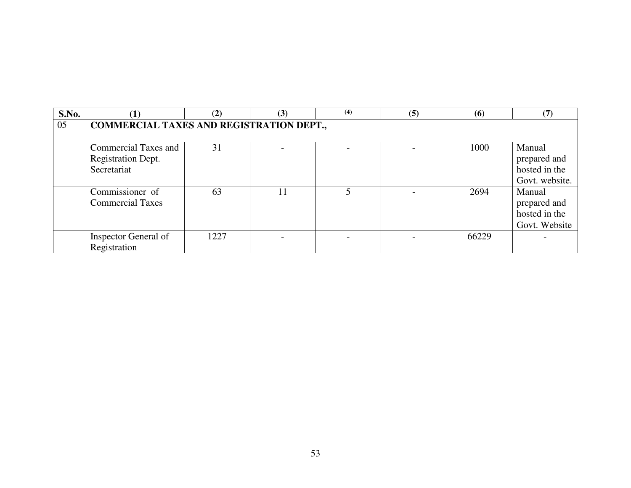| S.No. |                                                 | (2)  | (3) | (4) | (5) | (6)   | (7)            |  |  |  |
|-------|-------------------------------------------------|------|-----|-----|-----|-------|----------------|--|--|--|
| 05    | <b>COMMERCIAL TAXES AND REGISTRATION DEPT.,</b> |      |     |     |     |       |                |  |  |  |
|       |                                                 |      |     |     |     |       |                |  |  |  |
|       | <b>Commercial Taxes and</b>                     | 31   |     |     |     | 1000  | Manual         |  |  |  |
|       | Registration Dept.                              |      |     |     |     |       | prepared and   |  |  |  |
|       | Secretariat                                     |      |     |     |     |       | hosted in the  |  |  |  |
|       |                                                 |      |     |     |     |       | Govt. website. |  |  |  |
|       | Commissioner of                                 | 63   | 11  |     |     | 2694  | Manual         |  |  |  |
|       | <b>Commercial Taxes</b>                         |      |     |     |     |       | prepared and   |  |  |  |
|       |                                                 |      |     |     |     |       | hosted in the  |  |  |  |
|       |                                                 |      |     |     |     |       | Govt. Website  |  |  |  |
|       | Inspector General of                            | 1227 |     |     |     | 66229 |                |  |  |  |
|       | Registration                                    |      |     |     |     |       |                |  |  |  |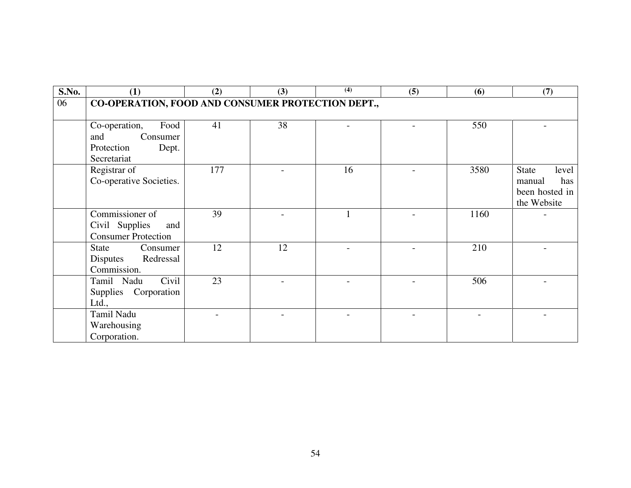| <b>S.No.</b> | (1)                                                                            | (2) | (3) | $\overline{(4)}$ | (5) | (6)  | (7)                                                              |
|--------------|--------------------------------------------------------------------------------|-----|-----|------------------|-----|------|------------------------------------------------------------------|
| 06           | CO-OPERATION, FOOD AND CONSUMER PROTECTION DEPT.,                              |     |     |                  |     |      |                                                                  |
|              | Food<br>Co-operation,<br>Consumer<br>and<br>Protection<br>Dept.<br>Secretariat | 41  | 38  |                  |     | 550  |                                                                  |
|              | Registrar of<br>Co-operative Societies.                                        | 177 |     | 16               |     | 3580 | State<br>level<br>has<br>manual<br>been hosted in<br>the Website |
|              | Commissioner of<br>Civil Supplies<br>and<br><b>Consumer Protection</b>         | 39  |     |                  |     | 1160 |                                                                  |
|              | State<br>Consumer<br>Redressal<br>Disputes<br>Commission.                      | 12  | 12  |                  |     | 210  |                                                                  |
|              | Civil<br>Tamil Nadu<br>Supplies Corporation<br>Ltd.,                           | 23  |     |                  |     | 506  |                                                                  |
|              | Tamil Nadu<br>Warehousing<br>Corporation.                                      |     |     |                  |     |      |                                                                  |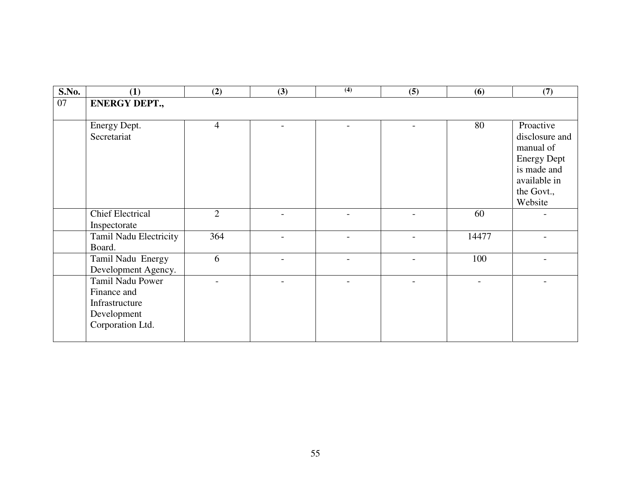| S.No. | (1)                                                                                  | (2)            | (3)                      | $\overline{(4)}$ | (5)            | (6)   | (7)                                                                                                                    |
|-------|--------------------------------------------------------------------------------------|----------------|--------------------------|------------------|----------------|-------|------------------------------------------------------------------------------------------------------------------------|
| 07    | <b>ENERGY DEPT.,</b>                                                                 |                |                          |                  |                |       |                                                                                                                        |
|       | Energy Dept.<br>Secretariat                                                          | $\overline{4}$ |                          |                  |                | 80    | Proactive<br>disclosure and<br>manual of<br><b>Energy Dept</b><br>is made and<br>available in<br>the Govt.,<br>Website |
|       | <b>Chief Electrical</b><br>Inspectorate                                              | $\overline{2}$ |                          |                  |                | 60    |                                                                                                                        |
|       | Tamil Nadu Electricity<br>Board.                                                     | 364            | $\overline{\phantom{0}}$ |                  | $\overline{a}$ | 14477 |                                                                                                                        |
|       | Tamil Nadu Energy<br>Development Agency.                                             | 6              |                          |                  |                | 100   |                                                                                                                        |
|       | Tamil Nadu Power<br>Finance and<br>Infrastructure<br>Development<br>Corporation Ltd. |                |                          |                  |                |       |                                                                                                                        |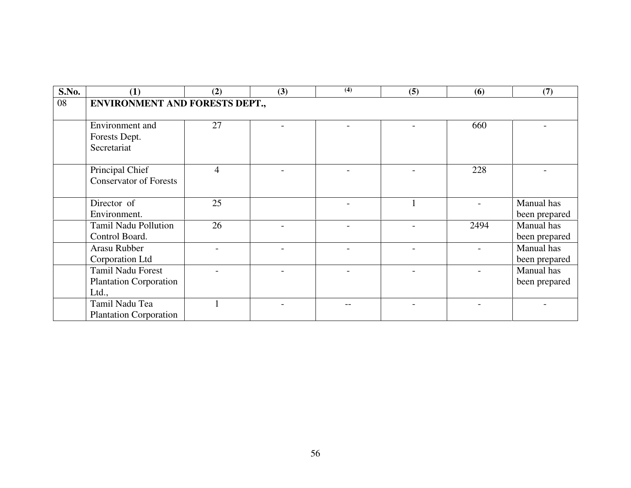| S.No. | (1)                                                                | (2) | (3) | (4) | (5) | (6)  | (7)                         |  |  |  |
|-------|--------------------------------------------------------------------|-----|-----|-----|-----|------|-----------------------------|--|--|--|
| 08    | <b>ENVIRONMENT AND FORESTS DEPT.,</b>                              |     |     |     |     |      |                             |  |  |  |
|       | Environment and<br>Forests Dept.<br>Secretariat                    | 27  |     |     |     | 660  |                             |  |  |  |
|       | Principal Chief<br><b>Conservator of Forests</b>                   | 4   |     |     |     | 228  |                             |  |  |  |
|       | Director of<br>Environment.                                        | 25  |     |     |     |      | Manual has<br>been prepared |  |  |  |
|       | Tamil Nadu Pollution<br>Control Board.                             | 26  |     |     |     | 2494 | Manual has<br>been prepared |  |  |  |
|       | Arasu Rubber<br>Corporation Ltd                                    |     |     |     |     |      | Manual has<br>been prepared |  |  |  |
|       | <b>Tamil Nadu Forest</b><br><b>Plantation Corporation</b><br>Ltd., |     |     |     |     |      | Manual has<br>been prepared |  |  |  |
|       | Tamil Nadu Tea<br><b>Plantation Corporation</b>                    |     |     |     |     |      |                             |  |  |  |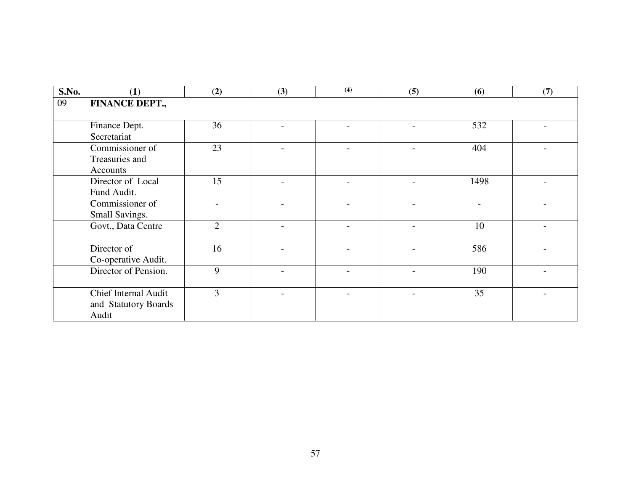| S.No. | (1)                                                 | (2)            | (3)                      | (4)                      | (5) | (6)  | (7) |
|-------|-----------------------------------------------------|----------------|--------------------------|--------------------------|-----|------|-----|
| 09    | FINANCE DEPT.,                                      |                |                          |                          |     |      |     |
|       |                                                     |                |                          |                          |     |      |     |
|       | Finance Dept.<br>Secretariat                        | 36             |                          |                          |     | 532  |     |
|       | Commissioner of                                     | 23             | $\overline{\phantom{a}}$ | $\overline{\phantom{0}}$ |     | 404  |     |
|       | Treasuries and<br>Accounts                          |                |                          |                          |     |      |     |
|       | Director of Local                                   | 15             |                          |                          |     | 1498 |     |
|       | Fund Audit.                                         |                |                          |                          |     |      |     |
|       | Commissioner of<br>Small Savings.                   |                |                          |                          |     |      |     |
|       | Govt., Data Centre                                  | $\overline{2}$ |                          |                          |     | 10   |     |
|       | Director of                                         | 16             |                          |                          |     | 586  |     |
|       | Co-operative Audit.                                 |                |                          |                          |     |      |     |
|       | Director of Pension.                                | 9              |                          |                          |     | 190  |     |
|       | <b>Chief Internal Audit</b><br>and Statutory Boards | $\overline{3}$ |                          |                          |     | 35   |     |
|       | Audit                                               |                |                          |                          |     |      |     |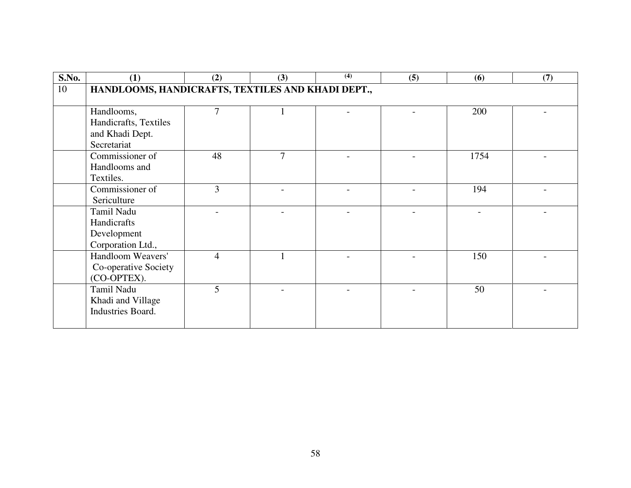| S.No. | (1)                                               | (2)            | (3)    | (4) | (5) | (6)  | (7) |
|-------|---------------------------------------------------|----------------|--------|-----|-----|------|-----|
| 10    | HANDLOOMS, HANDICRAFTS, TEXTILES AND KHADI DEPT., |                |        |     |     |      |     |
|       |                                                   |                |        |     |     |      |     |
|       | Handlooms,                                        | 7              |        |     |     | 200  |     |
|       | Handicrafts, Textiles                             |                |        |     |     |      |     |
|       | and Khadi Dept.<br>Secretariat                    |                |        |     |     |      |     |
|       | Commissioner of                                   | 48             | $\tau$ |     |     | 1754 |     |
|       | Handlooms and                                     |                |        |     |     |      |     |
|       | Textiles.                                         |                |        |     |     |      |     |
|       | Commissioner of                                   | 3              |        |     |     | 194  |     |
|       | Sericulture                                       |                |        |     |     |      |     |
|       | Tamil Nadu                                        |                |        |     |     |      |     |
|       | Handicrafts                                       |                |        |     |     |      |     |
|       | Development                                       |                |        |     |     |      |     |
|       | Corporation Ltd.,                                 |                |        |     |     |      |     |
|       | Handloom Weavers'                                 | $\overline{4}$ |        |     |     | 150  |     |
|       | Co-operative Society                              |                |        |     |     |      |     |
|       | (CO-OPTEX).                                       |                |        |     |     |      |     |
|       | Tamil Nadu                                        | 5              |        |     |     | 50   |     |
|       | Khadi and Village                                 |                |        |     |     |      |     |
|       | Industries Board.                                 |                |        |     |     |      |     |
|       |                                                   |                |        |     |     |      |     |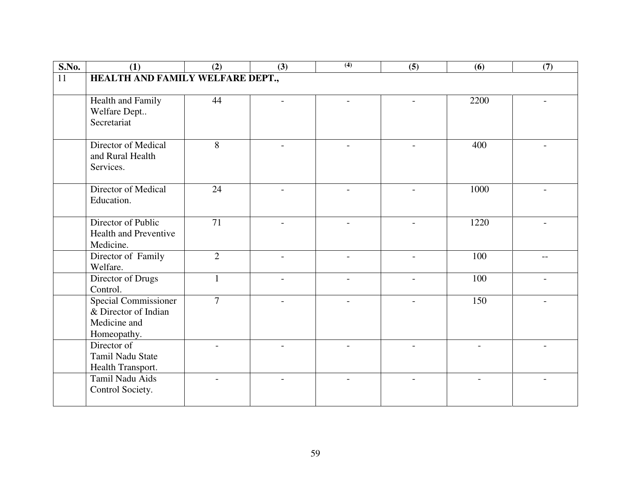| S.No.           | (1)                                                                                | (2)             | (3)                      | (4)                      | (5)                      | (6)  | (7)            |
|-----------------|------------------------------------------------------------------------------------|-----------------|--------------------------|--------------------------|--------------------------|------|----------------|
| $\overline{11}$ | HEALTH AND FAMILY WELFARE DEPT.,                                                   |                 |                          |                          |                          |      |                |
|                 | Health and Family<br>Welfare Dept<br>Secretariat                                   | 44              |                          | $\overline{a}$           | $\overline{a}$           | 2200 | $\overline{a}$ |
|                 | Director of Medical<br>and Rural Health<br>Services.                               | 8               |                          |                          | $\overline{\phantom{a}}$ | 400  |                |
|                 | Director of Medical<br>Education.                                                  | 24              |                          |                          |                          | 1000 |                |
|                 | Director of Public<br>Health and Preventive<br>Medicine.                           | $\overline{71}$ |                          |                          |                          | 1220 |                |
|                 | Director of Family<br>Welfare.                                                     | $\overline{2}$  | $\overline{\phantom{0}}$ | $\overline{\phantom{a}}$ | $\overline{\phantom{a}}$ | 100  | $-$            |
|                 | Director of Drugs<br>Control.                                                      | $\mathbf{1}$    |                          | $\overline{a}$           | $\overline{a}$           | 100  |                |
|                 | <b>Special Commissioner</b><br>& Director of Indian<br>Medicine and<br>Homeopathy. | $\overline{7}$  |                          |                          | $\overline{a}$           | 150  |                |
|                 | Director of<br>Tamil Nadu State<br>Health Transport.                               |                 |                          |                          |                          |      |                |
|                 | Tamil Nadu Aids<br>Control Society.                                                |                 |                          |                          |                          |      |                |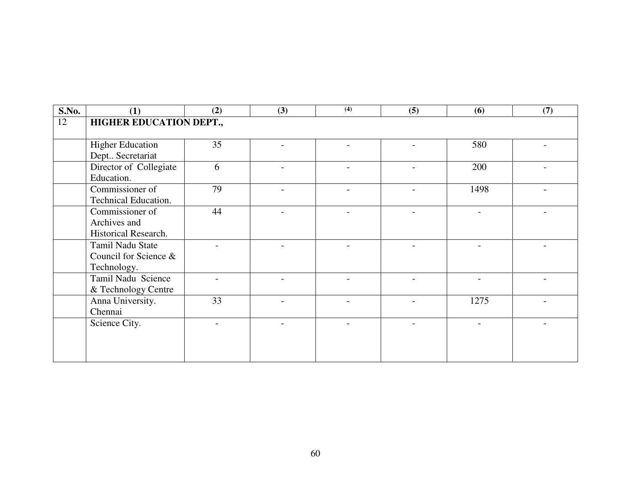| <b>S.No.</b> | (1)                            | (2) | (3) | $\overline{(4)}$         | (5) | (6)  | (7) |  |  |  |  |
|--------------|--------------------------------|-----|-----|--------------------------|-----|------|-----|--|--|--|--|
| 12           | <b>HIGHER EDUCATION DEPT.,</b> |     |     |                          |     |      |     |  |  |  |  |
|              |                                |     |     |                          |     |      |     |  |  |  |  |
|              | <b>Higher Education</b>        | 35  |     |                          |     | 580  |     |  |  |  |  |
|              | Dept Secretariat               |     |     |                          |     |      |     |  |  |  |  |
|              | Director of Collegiate         | 6   |     | $\overline{\phantom{a}}$ |     | 200  |     |  |  |  |  |
|              | Education.                     |     |     |                          |     |      |     |  |  |  |  |
|              | Commissioner of                | 79  |     |                          |     | 1498 |     |  |  |  |  |
|              | Technical Education.           |     |     |                          |     |      |     |  |  |  |  |
|              | Commissioner of                | 44  |     |                          |     |      |     |  |  |  |  |
|              | Archives and                   |     |     |                          |     |      |     |  |  |  |  |
|              | Historical Research.           |     |     |                          |     |      |     |  |  |  |  |
|              | Tamil Nadu State               |     |     |                          |     |      |     |  |  |  |  |
|              | Council for Science &          |     |     |                          |     |      |     |  |  |  |  |
|              | Technology.                    |     |     |                          |     |      |     |  |  |  |  |
|              | Tamil Nadu Science             |     |     |                          |     |      |     |  |  |  |  |
|              | & Technology Centre            |     |     |                          |     |      |     |  |  |  |  |
|              | Anna University.               | 33  |     |                          |     | 1275 |     |  |  |  |  |
|              | Chennai                        |     |     |                          |     |      |     |  |  |  |  |
|              | Science City.                  |     |     |                          |     |      |     |  |  |  |  |
|              |                                |     |     |                          |     |      |     |  |  |  |  |
|              |                                |     |     |                          |     |      |     |  |  |  |  |
|              |                                |     |     |                          |     |      |     |  |  |  |  |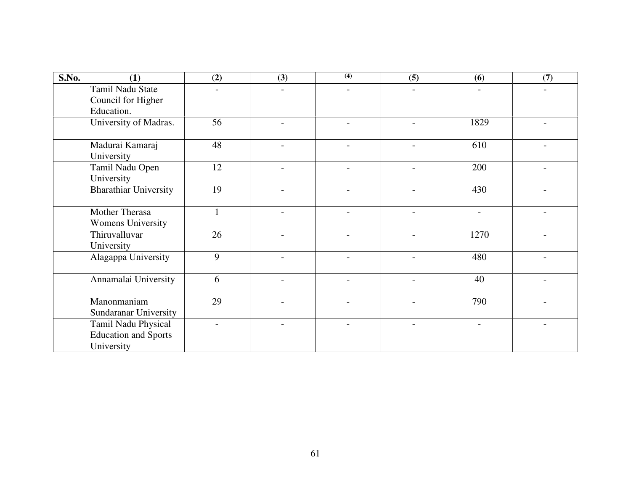| S.No. | (1)                                                              | (2) | (3)                      | (4)                      | (5)            | (6)                      | (7) |
|-------|------------------------------------------------------------------|-----|--------------------------|--------------------------|----------------|--------------------------|-----|
|       | Tamil Nadu State<br>Council for Higher<br>Education.             |     |                          |                          |                |                          |     |
|       | University of Madras.                                            | 56  |                          |                          |                | 1829                     |     |
|       | Madurai Kamaraj<br>University                                    | 48  |                          |                          |                | 610                      |     |
|       | Tamil Nadu Open<br>University                                    | 12  |                          |                          | $\overline{a}$ | 200                      |     |
|       | <b>Bharathiar University</b>                                     | 19  |                          |                          |                | 430                      |     |
|       | Mother Therasa<br><b>Womens University</b>                       |     | $\overline{\phantom{0}}$ | $\overline{\phantom{0}}$ | $\overline{a}$ | $\overline{\phantom{a}}$ |     |
|       | Thiruvalluvar<br>University                                      | 26  |                          | $\overline{a}$           |                | 1270                     |     |
|       | Alagappa University                                              | 9   |                          |                          |                | 480                      |     |
|       | Annamalai University                                             | 6   |                          | $\overline{\phantom{0}}$ |                | 40                       |     |
|       | Manonmaniam<br>Sundaranar University                             | 29  |                          | $\overline{a}$           |                | 790                      |     |
|       | Tamil Nadu Physical<br><b>Education and Sports</b><br>University |     |                          |                          |                |                          |     |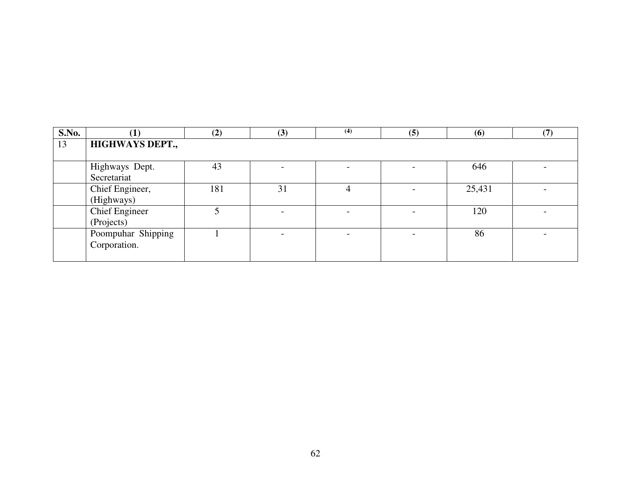| S.No. |                                     | (2) | (3) | (4) | (5) | (6)    | (7, 7) |
|-------|-------------------------------------|-----|-----|-----|-----|--------|--------|
| 13    | <b>HIGHWAYS DEPT.,</b>              |     |     |     |     |        |        |
|       | Highways Dept.<br>Secretariat       | 43  |     |     |     | 646    |        |
|       | Chief Engineer,<br>(Highways)       | 181 | 31  |     |     | 25,431 |        |
|       | <b>Chief Engineer</b><br>(Projects) |     |     |     |     | 120    |        |
|       | Poompuhar Shipping<br>Corporation.  |     |     |     |     | 86     |        |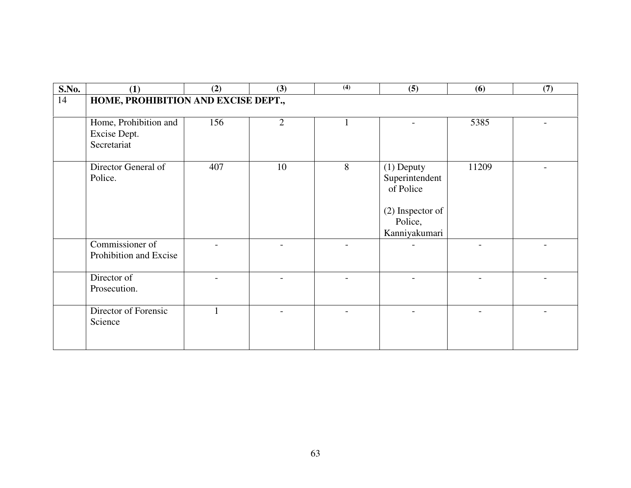| S.No. | (1)                                                  | (2) | (3) | (4) | (5)                                                                                         | (6)   | (7) |
|-------|------------------------------------------------------|-----|-----|-----|---------------------------------------------------------------------------------------------|-------|-----|
| 14    | HOME, PROHIBITION AND EXCISE DEPT.,                  |     |     |     |                                                                                             |       |     |
|       | Home, Prohibition and<br>Excise Dept.<br>Secretariat | 156 | 2   |     |                                                                                             | 5385  |     |
|       | Director General of<br>Police.                       | 407 | 10  | 8   | $(1)$ Deputy<br>Superintendent<br>of Police<br>(2) Inspector of<br>Police,<br>Kanniyakumari | 11209 |     |
|       | Commissioner of<br>Prohibition and Excise            |     |     |     |                                                                                             |       |     |
|       | Director of<br>Prosecution.                          |     |     |     |                                                                                             |       |     |
|       | Director of Forensic<br>Science                      |     |     |     |                                                                                             |       |     |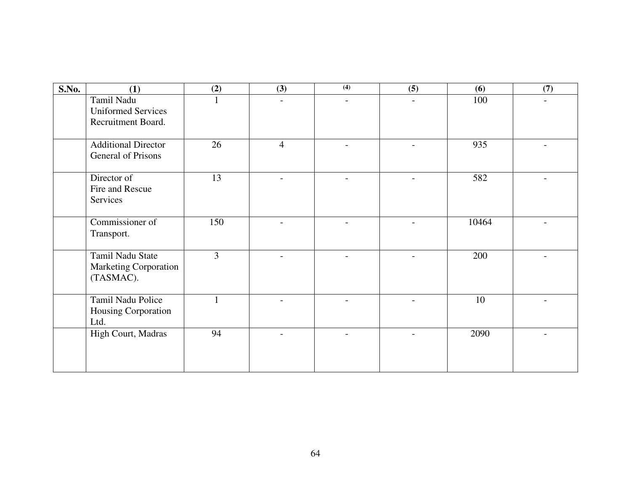| S.No. | (1)                                                           | (2)          | (3)                      | $\overline{(4)}$         | (5)                      | (6)   | (7) |
|-------|---------------------------------------------------------------|--------------|--------------------------|--------------------------|--------------------------|-------|-----|
|       | Tamil Nadu<br><b>Uniformed Services</b><br>Recruitment Board. |              | $\overline{a}$           | $\overline{a}$           |                          | 100   |     |
|       | <b>Additional Director</b><br>General of Prisons              | 26           | $\overline{4}$           |                          |                          | 935   |     |
|       | Director of<br>Fire and Rescue<br>Services                    | 13           | $\overline{\phantom{a}}$ | $\overline{\phantom{0}}$ | $\overline{\phantom{0}}$ | 582   |     |
|       | Commissioner of<br>Transport.                                 | 150          |                          |                          |                          | 10464 |     |
|       | Tamil Nadu State<br><b>Marketing Corporation</b><br>(TASMAC). | 3            | $\overline{\phantom{0}}$ | $\overline{\phantom{0}}$ | $\overline{a}$           | 200   |     |
|       | Tamil Nadu Police<br>Housing Corporation<br>Ltd.              | $\mathbf{1}$ |                          |                          | $\overline{a}$           | 10    |     |
|       | High Court, Madras                                            | 94           |                          |                          |                          | 2090  |     |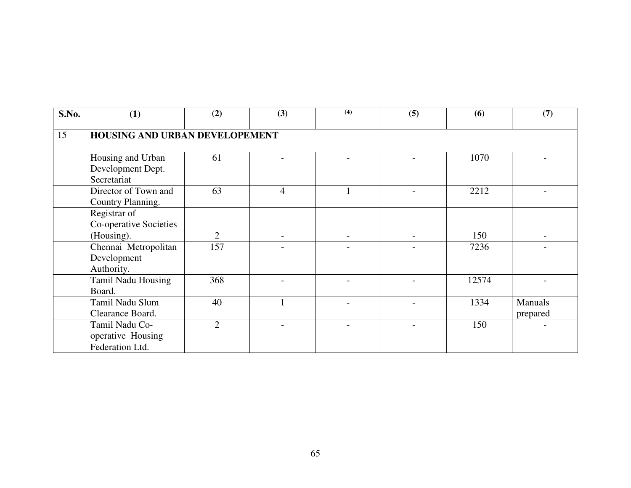| S.No. | (1)                                                    | (2)            | (3)            | (4) | (5) | (6)   | (7)                        |  |  |  |  |
|-------|--------------------------------------------------------|----------------|----------------|-----|-----|-------|----------------------------|--|--|--|--|
| 15    | HOUSING AND URBAN DEVELOPEMENT                         |                |                |     |     |       |                            |  |  |  |  |
|       | Housing and Urban<br>Development Dept.<br>Secretariat  | 61             |                |     |     | 1070  |                            |  |  |  |  |
|       | Director of Town and<br>Country Planning.              | 63             | $\overline{4}$ |     |     | 2212  |                            |  |  |  |  |
|       | Registrar of<br>Co-operative Societies<br>(Housing).   | $\overline{2}$ |                |     |     | 150   |                            |  |  |  |  |
|       | Chennai Metropolitan<br>Development<br>Authority.      | 157            |                |     |     | 7236  |                            |  |  |  |  |
|       | Tamil Nadu Housing<br>Board.                           | 368            |                |     |     | 12574 |                            |  |  |  |  |
|       | Tamil Nadu Slum<br>Clearance Board.                    | 40             |                |     |     | 1334  | <b>Manuals</b><br>prepared |  |  |  |  |
|       | Tamil Nadu Co-<br>operative Housing<br>Federation Ltd. | $\overline{2}$ |                |     |     | 150   |                            |  |  |  |  |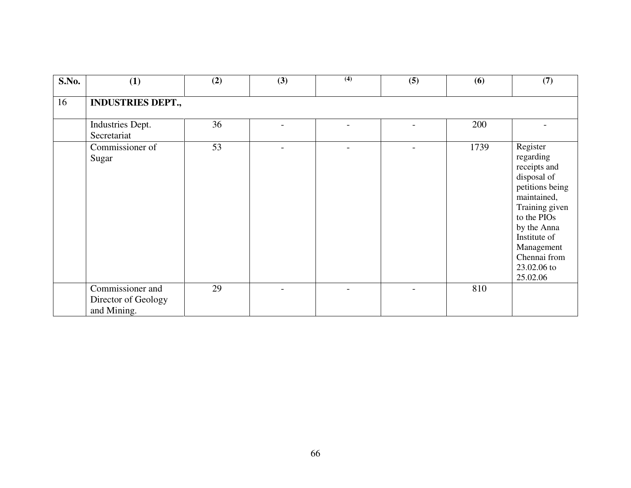| S.No. | (1)                                                    | (2) | (3)                      | $\overline{(4)}$         | (5)                      | (6)  | (7)                                                                                                                                                                                                             |  |  |  |  |  |
|-------|--------------------------------------------------------|-----|--------------------------|--------------------------|--------------------------|------|-----------------------------------------------------------------------------------------------------------------------------------------------------------------------------------------------------------------|--|--|--|--|--|
| 16    | <b>INDUSTRIES DEPT.,</b>                               |     |                          |                          |                          |      |                                                                                                                                                                                                                 |  |  |  |  |  |
|       | Industries Dept.<br>Secretariat                        | 36  |                          |                          |                          | 200  |                                                                                                                                                                                                                 |  |  |  |  |  |
|       | Commissioner of<br>Sugar                               | 53  |                          |                          |                          | 1739 | Register<br>regarding<br>receipts and<br>disposal of<br>petitions being<br>maintained,<br>Training given<br>to the PIOs<br>by the Anna<br>Institute of<br>Management<br>Chennai from<br>23.02.06 to<br>25.02.06 |  |  |  |  |  |
|       | Commissioner and<br>Director of Geology<br>and Mining. | 29  | $\overline{\phantom{0}}$ | $\overline{\phantom{0}}$ | $\overline{\phantom{0}}$ | 810  |                                                                                                                                                                                                                 |  |  |  |  |  |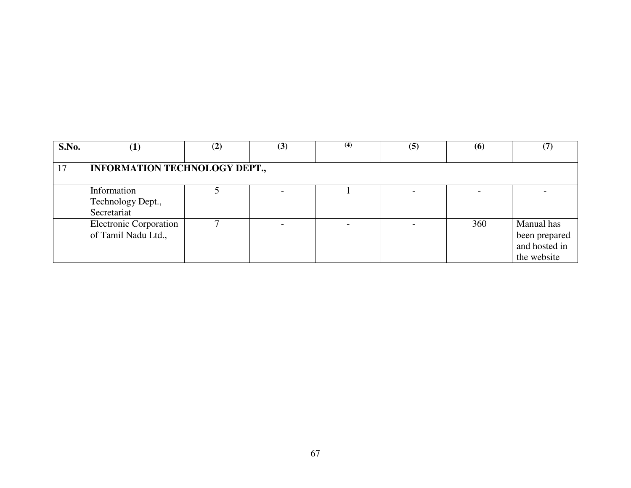| S.No. |                                                      | (2) | (3) | (4) | (5) | (6) |                                                             |
|-------|------------------------------------------------------|-----|-----|-----|-----|-----|-------------------------------------------------------------|
| 17    | <b>INFORMATION TECHNOLOGY DEPT.,</b>                 |     |     |     |     |     |                                                             |
|       | Information<br>Technology Dept.,<br>Secretariat      |     |     |     |     |     |                                                             |
|       | <b>Electronic Corporation</b><br>of Tamil Nadu Ltd., |     |     |     |     | 360 | Manual has<br>been prepared<br>and hosted in<br>the website |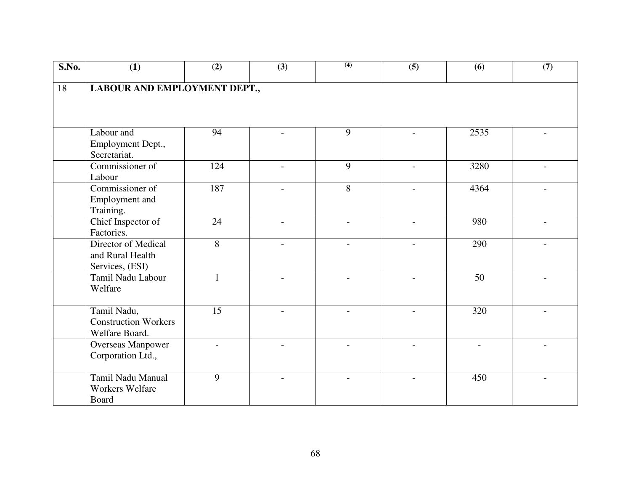| S.No. | (1)                                                          | (2)                      | (3)            | (4)                      | (5)                      | (6)                      | (7) |  |  |  |  |
|-------|--------------------------------------------------------------|--------------------------|----------------|--------------------------|--------------------------|--------------------------|-----|--|--|--|--|
| 18    | LABOUR AND EMPLOYMENT DEPT.,                                 |                          |                |                          |                          |                          |     |  |  |  |  |
|       | Labour and<br>Employment Dept.,<br>Secretariat.              | 94                       |                | 9                        |                          | 2535                     |     |  |  |  |  |
|       | Commissioner of<br>Labour                                    | 124                      |                | 9                        |                          | 3280                     |     |  |  |  |  |
|       | Commissioner of<br>Employment and<br>Training.               | 187                      |                | 8                        |                          | 4364                     |     |  |  |  |  |
|       | Chief Inspector of<br>Factories.                             | 24                       |                |                          |                          | 980                      |     |  |  |  |  |
|       | Director of Medical<br>and Rural Health<br>Services, (ESI)   | 8                        |                |                          |                          | 290                      |     |  |  |  |  |
|       | Tamil Nadu Labour<br>Welfare                                 | $\mathbf{1}$             |                |                          |                          | 50                       |     |  |  |  |  |
|       | Tamil Nadu,<br><b>Construction Workers</b><br>Welfare Board. | 15                       | $\overline{a}$ | $\overline{\phantom{a}}$ | $\overline{\phantom{0}}$ | 320                      |     |  |  |  |  |
|       | <b>Overseas Manpower</b><br>Corporation Ltd.,                | $\overline{\phantom{0}}$ | $\overline{a}$ | $\overline{a}$           |                          | $\overline{\phantom{a}}$ |     |  |  |  |  |
|       | Tamil Nadu Manual<br><b>Workers Welfare</b><br>Board         | 9                        |                |                          |                          | 450                      |     |  |  |  |  |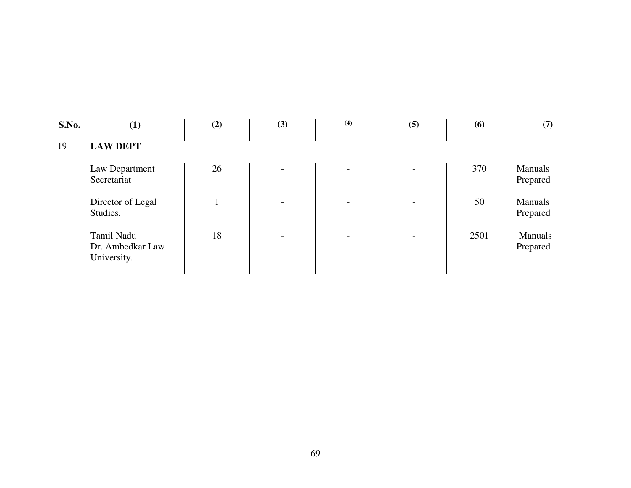| S.No. | (1)                                           | (2) | (3)                      | (4)                      | (5)                      | (6)  | (7)                 |
|-------|-----------------------------------------------|-----|--------------------------|--------------------------|--------------------------|------|---------------------|
| 19    | <b>LAW DEPT</b>                               |     |                          |                          |                          |      |                     |
|       | Law Department<br>Secretariat                 | 26  | $\overline{\phantom{0}}$ |                          | -                        | 370  | Manuals<br>Prepared |
|       | Director of Legal<br>Studies.                 |     | $\overline{\phantom{a}}$ | $\overline{\phantom{a}}$ | $\overline{\phantom{0}}$ | 50   | Manuals<br>Prepared |
|       | Tamil Nadu<br>Dr. Ambedkar Law<br>University. | 18  | $\overline{\phantom{a}}$ | $\overline{\phantom{0}}$ | $\overline{\phantom{0}}$ | 2501 | Manuals<br>Prepared |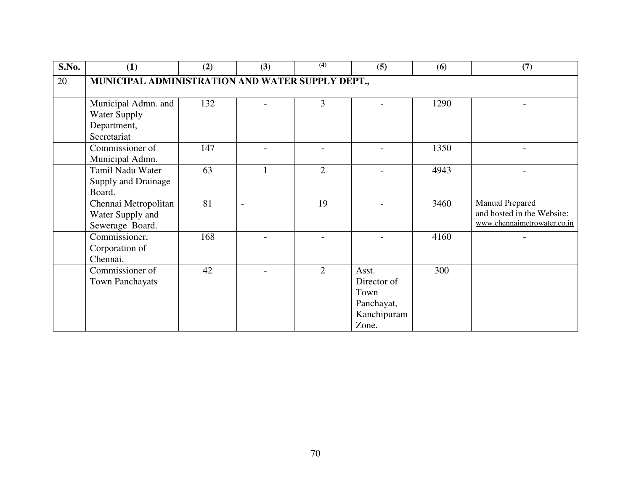| S.No. | (1)                                                                      | (2) | (3) | (4)            | (5)                                                                | (6)  | (7)                                                                                 |
|-------|--------------------------------------------------------------------------|-----|-----|----------------|--------------------------------------------------------------------|------|-------------------------------------------------------------------------------------|
| 20    | MUNICIPAL ADMINISTRATION AND WATER SUPPLY DEPT.,                         |     |     |                |                                                                    |      |                                                                                     |
|       | Municipal Admn. and<br><b>Water Supply</b><br>Department,<br>Secretariat | 132 |     | 3              |                                                                    | 1290 |                                                                                     |
|       | Commissioner of<br>Municipal Admn.                                       | 147 |     |                |                                                                    | 1350 |                                                                                     |
|       | Tamil Nadu Water<br>Supply and Drainage<br>Board.                        | 63  | 1   | $\overline{2}$ |                                                                    | 4943 |                                                                                     |
|       | Chennai Metropolitan<br>Water Supply and<br>Sewerage Board.              | 81  |     | 19             |                                                                    | 3460 | <b>Manual Prepared</b><br>and hosted in the Website:<br>www.chennaimetrowater.co.in |
|       | Commissioner,<br>Corporation of<br>Chennai.                              | 168 |     |                |                                                                    | 4160 |                                                                                     |
|       | Commissioner of<br>Town Panchayats                                       | 42  |     | $\overline{2}$ | Asst.<br>Director of<br>Town<br>Panchayat,<br>Kanchipuram<br>Zone. | 300  |                                                                                     |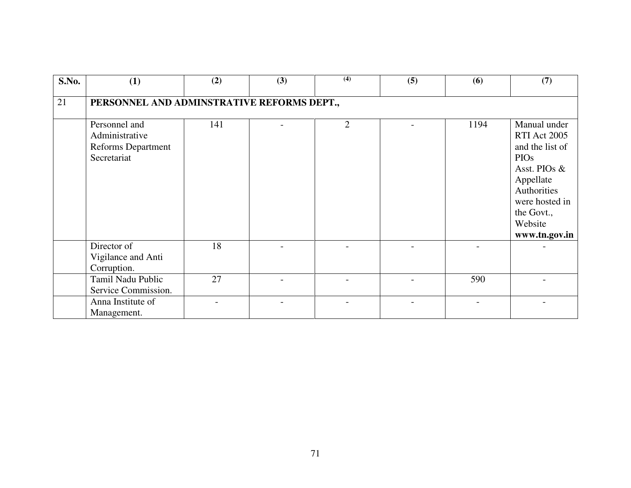| S.No. | (1)                                                                         | (2) | (3) | (4)            | (5) | (6)  | (7)                                                                                                                                                                           |  |  |  |  |
|-------|-----------------------------------------------------------------------------|-----|-----|----------------|-----|------|-------------------------------------------------------------------------------------------------------------------------------------------------------------------------------|--|--|--|--|
| 21    | PERSONNEL AND ADMINSTRATIVE REFORMS DEPT.,                                  |     |     |                |     |      |                                                                                                                                                                               |  |  |  |  |
|       | Personnel and<br>Administrative<br><b>Reforms Department</b><br>Secretariat | 141 |     | $\overline{2}$ |     | 1194 | Manual under<br><b>RTI Act 2005</b><br>and the list of<br><b>PIOs</b><br>Asst. PIOs &<br>Appellate<br>Authorities<br>were hosted in<br>the Govt.,<br>Website<br>www.tn.gov.in |  |  |  |  |
|       | Director of<br>Vigilance and Anti<br>Corruption.                            | 18  |     |                |     |      |                                                                                                                                                                               |  |  |  |  |
|       | Tamil Nadu Public<br>Service Commission.                                    | 27  |     |                |     | 590  |                                                                                                                                                                               |  |  |  |  |
|       | Anna Institute of<br>Management.                                            |     |     |                |     |      |                                                                                                                                                                               |  |  |  |  |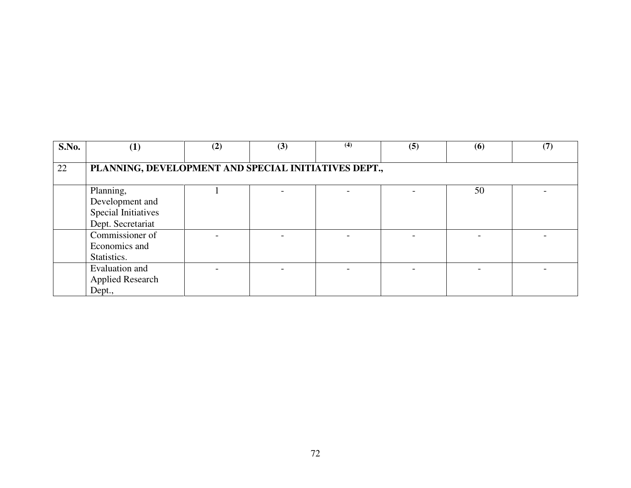| S.No. | $\left(1\right)$                                     | (2) | (3) | (4) | (5) | (6) | (7) |  |  |  |
|-------|------------------------------------------------------|-----|-----|-----|-----|-----|-----|--|--|--|
|       |                                                      |     |     |     |     |     |     |  |  |  |
| 22    | PLANNING, DEVELOPMENT AND SPECIAL INITIATIVES DEPT., |     |     |     |     |     |     |  |  |  |
|       |                                                      |     |     |     |     |     |     |  |  |  |
|       | Planning,                                            |     |     |     |     | 50  |     |  |  |  |
|       | Development and                                      |     |     |     |     |     |     |  |  |  |
|       | <b>Special Initiatives</b>                           |     |     |     |     |     |     |  |  |  |
|       | Dept. Secretariat                                    |     |     |     |     |     |     |  |  |  |
|       | Commissioner of                                      |     |     |     |     |     |     |  |  |  |
|       | Economics and                                        |     |     |     |     |     |     |  |  |  |
|       | Statistics.                                          |     |     |     |     |     |     |  |  |  |
|       | Evaluation and                                       |     |     |     |     |     |     |  |  |  |
|       | <b>Applied Research</b>                              |     |     |     |     |     |     |  |  |  |
|       | Dept.,                                               |     |     |     |     |     |     |  |  |  |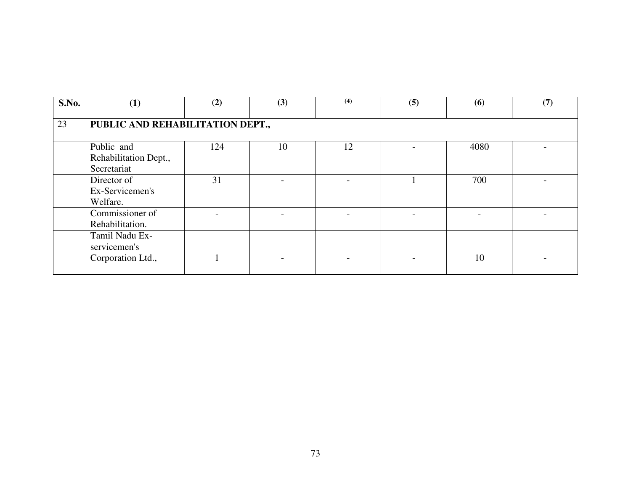| S.No. | (1)                                                 | (2) | (3) | (4) | (5) | (6)  | (7) |  |  |  |
|-------|-----------------------------------------------------|-----|-----|-----|-----|------|-----|--|--|--|
| 23    | PUBLIC AND REHABILITATION DEPT.,                    |     |     |     |     |      |     |  |  |  |
|       | Public and<br>Rehabilitation Dept.,<br>Secretariat  | 124 | 10  | 12  |     | 4080 |     |  |  |  |
|       | Director of<br>Ex-Servicemen's<br>Welfare.          | 31  |     |     |     | 700  |     |  |  |  |
|       | Commissioner of<br>Rehabilitation.                  |     |     |     |     |      |     |  |  |  |
|       | Tamil Nadu Ex-<br>servicemen's<br>Corporation Ltd., |     |     |     |     | 10   |     |  |  |  |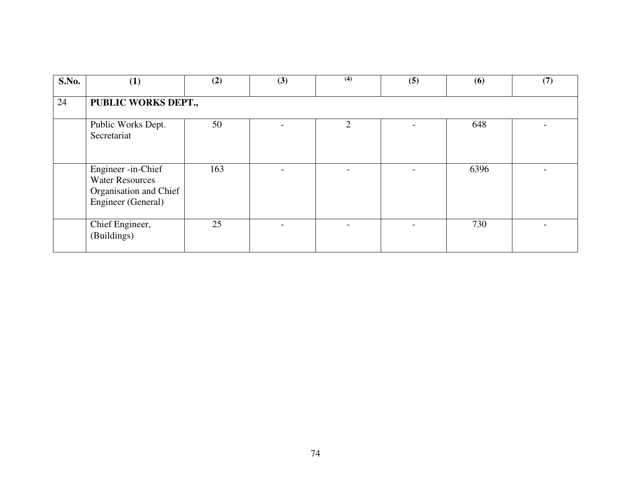| S.No. | (1)                                                                                          | (2) | (3) | (4)            | (5) | (6)  | (7) |
|-------|----------------------------------------------------------------------------------------------|-----|-----|----------------|-----|------|-----|
| 24    | PUBLIC WORKS DEPT.,                                                                          |     |     |                |     |      |     |
|       | Public Works Dept.<br>Secretariat                                                            | 50  |     | $\mathfrak{D}$ |     | 648  |     |
|       | Engineer -in-Chief<br><b>Water Resources</b><br>Organisation and Chief<br>Engineer (General) | 163 |     |                |     | 6396 |     |
|       | Chief Engineer,<br>(Buildings)                                                               | 25  |     |                |     | 730  |     |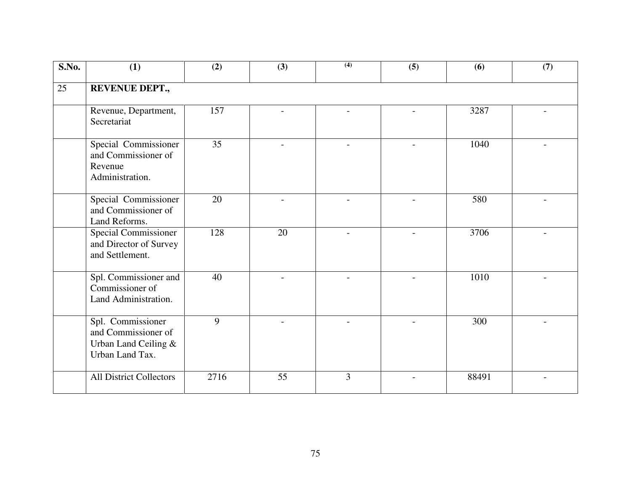| S.No. | (1)                                                                                 | (2)  | (3)            | (4)            | (5)            | (6)   | (7) |
|-------|-------------------------------------------------------------------------------------|------|----------------|----------------|----------------|-------|-----|
| 25    | <b>REVENUE DEPT.,</b>                                                               |      |                |                |                |       |     |
|       | Revenue, Department,<br>Secretariat                                                 | 157  |                |                |                | 3287  |     |
|       | Special Commissioner<br>and Commissioner of<br>Revenue<br>Administration.           | 35   |                |                |                | 1040  |     |
|       | Special Commissioner<br>and Commissioner of<br>Land Reforms.                        | 20   |                |                |                | 580   |     |
|       | <b>Special Commissioner</b><br>and Director of Survey<br>and Settlement.            | 128  | 20             | $\overline{a}$ | $\overline{a}$ | 3706  |     |
|       | Spl. Commissioner and<br>Commissioner of<br>Land Administration.                    | 40   | $\overline{a}$ |                | $\overline{a}$ | 1010  |     |
|       | Spl. Commissioner<br>and Commissioner of<br>Urban Land Ceiling &<br>Urban Land Tax. | 9    |                |                |                | 300   |     |
|       | <b>All District Collectors</b>                                                      | 2716 | 55             | 3              |                | 88491 |     |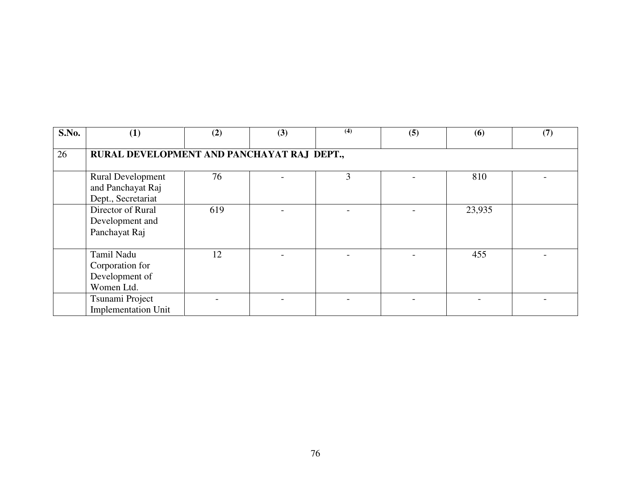| S.No. | (1)                                                                 | (2) | (3) | (4) | (5) | (6)    | (7) |  |  |  |  |
|-------|---------------------------------------------------------------------|-----|-----|-----|-----|--------|-----|--|--|--|--|
| 26    | RURAL DEVELOPMENT AND PANCHAYAT RAJ DEPT.,                          |     |     |     |     |        |     |  |  |  |  |
|       | <b>Rural Development</b><br>and Panchayat Raj<br>Dept., Secretariat | 76  |     | 3   |     | 810    |     |  |  |  |  |
|       | Director of Rural<br>Development and<br>Panchayat Raj               | 619 |     |     |     | 23,935 |     |  |  |  |  |
|       | Tamil Nadu<br>Corporation for<br>Development of<br>Women Ltd.       | 12  |     |     |     | 455    |     |  |  |  |  |
|       | Tsunami Project<br><b>Implementation Unit</b>                       |     |     |     |     |        |     |  |  |  |  |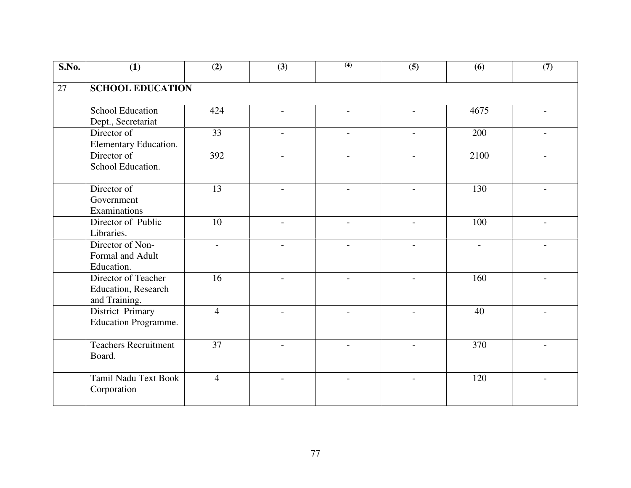| S.No.           | (1)                                                         | (2)             | (3)                      | (4)                      | (5)                      | (6)                      | (7)                      |  |  |  |
|-----------------|-------------------------------------------------------------|-----------------|--------------------------|--------------------------|--------------------------|--------------------------|--------------------------|--|--|--|
| $\overline{27}$ | <b>SCHOOL EDUCATION</b>                                     |                 |                          |                          |                          |                          |                          |  |  |  |
|                 | <b>School Education</b><br>Dept., Secretariat               | 424             |                          | $\overline{\phantom{0}}$ |                          | 4675                     |                          |  |  |  |
|                 | Director of<br>Elementary Education.                        | $\overline{33}$ |                          |                          |                          | 200                      |                          |  |  |  |
|                 | Director of<br>School Education.                            | 392             | $\overline{\phantom{a}}$ |                          | $\overline{\phantom{a}}$ | 2100                     |                          |  |  |  |
|                 | Director of<br>Government<br>Examinations                   | 13              |                          |                          |                          | 130                      |                          |  |  |  |
|                 | Director of Public<br>Libraries.                            | 10              |                          |                          |                          | 100                      |                          |  |  |  |
|                 | Director of Non-<br>Formal and Adult<br>Education.          |                 |                          |                          |                          | $\overline{\phantom{a}}$ |                          |  |  |  |
|                 | Director of Teacher<br>Education, Research<br>and Training. | $\overline{16}$ |                          |                          |                          | 160                      |                          |  |  |  |
|                 | District Primary<br><b>Education Programme.</b>             | $\overline{4}$  | $\overline{\phantom{a}}$ | $\overline{\phantom{a}}$ | $\blacksquare$           | 40                       | $\overline{\phantom{a}}$ |  |  |  |
|                 | <b>Teachers Recruitment</b><br>Board.                       | $\overline{37}$ | $\overline{\phantom{0}}$ | $\overline{a}$           | $\overline{\phantom{0}}$ | 370                      |                          |  |  |  |
|                 | <b>Tamil Nadu Text Book</b><br>Corporation                  | $\overline{4}$  |                          |                          |                          | 120                      |                          |  |  |  |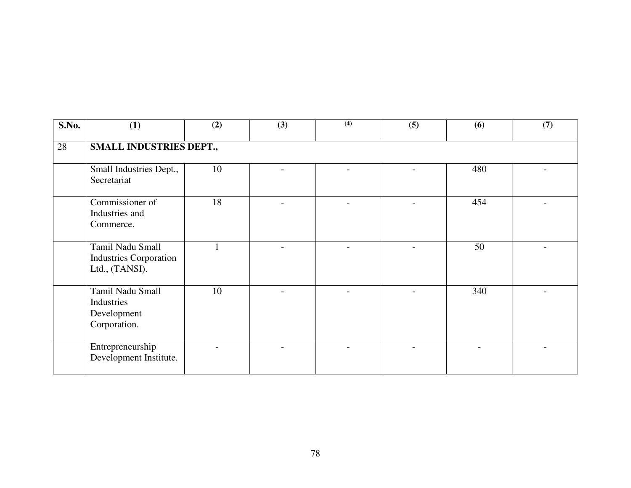| S.No. | (1)                                                                 | (2) | (3) | (4)                      | (5)            | (6) | (7) |  |  |  |
|-------|---------------------------------------------------------------------|-----|-----|--------------------------|----------------|-----|-----|--|--|--|
| 28    | SMALL INDUSTRIES DEPT.,                                             |     |     |                          |                |     |     |  |  |  |
|       | Small Industries Dept.,<br>Secretariat                              | 10  |     |                          |                | 480 |     |  |  |  |
|       | Commissioner of<br>Industries and<br>Commerce.                      | 18  |     | $\overline{\phantom{0}}$ |                | 454 |     |  |  |  |
|       | Tamil Nadu Small<br><b>Industries Corporation</b><br>Ltd., (TANSI). |     |     |                          |                | 50  |     |  |  |  |
|       | Tamil Nadu Small<br>Industries<br>Development<br>Corporation.       | 10  |     |                          | $\overline{a}$ | 340 |     |  |  |  |
|       | Entrepreneurship<br>Development Institute.                          |     |     |                          |                |     |     |  |  |  |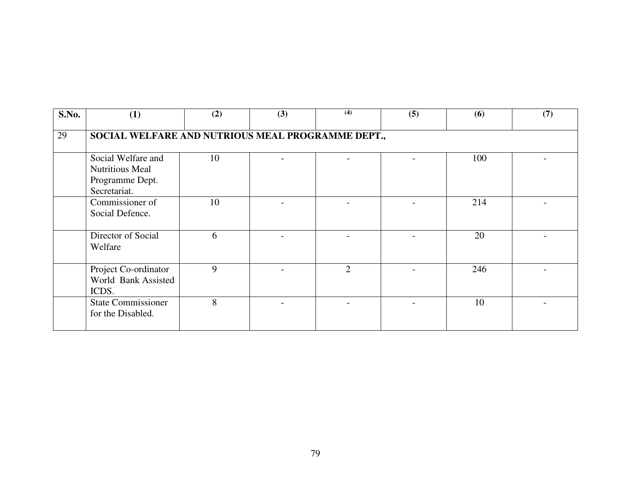| S.No. | (1)                                                                             | (2) | (3) | (4)            | (5) | (6) | (7) |  |  |  |
|-------|---------------------------------------------------------------------------------|-----|-----|----------------|-----|-----|-----|--|--|--|
| 29    | SOCIAL WELFARE AND NUTRIOUS MEAL PROGRAMME DEPT.,                               |     |     |                |     |     |     |  |  |  |
|       | Social Welfare and<br><b>Nutritious Meal</b><br>Programme Dept.<br>Secretariat. | 10  |     |                |     | 100 |     |  |  |  |
|       | Commissioner of<br>Social Defence.                                              | 10  |     |                |     | 214 |     |  |  |  |
|       | Director of Social<br>Welfare                                                   | 6   |     |                |     | 20  |     |  |  |  |
|       | Project Co-ordinator<br>World Bank Assisted<br>ICDS.                            | 9   |     | $\overline{2}$ |     | 246 |     |  |  |  |
|       | <b>State Commissioner</b><br>for the Disabled.                                  | 8   |     |                |     | 10  |     |  |  |  |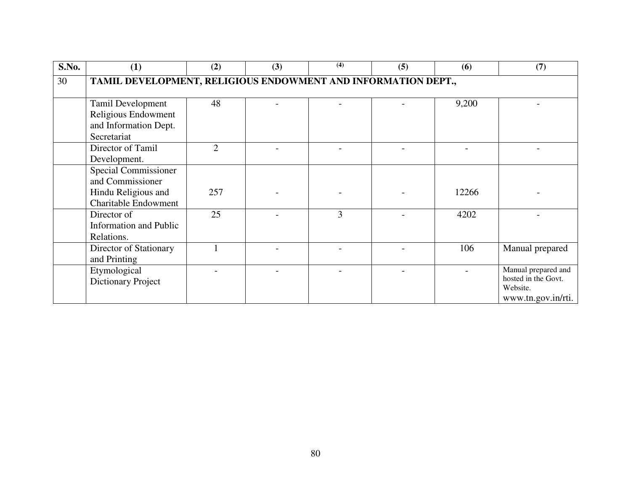| S.No. | (1)                                                                                                   | (2)            | (3) | (4) | (5) | (6)   | (7)                                                                          |
|-------|-------------------------------------------------------------------------------------------------------|----------------|-----|-----|-----|-------|------------------------------------------------------------------------------|
| 30    | TAMIL DEVELOPMENT, RELIGIOUS ENDOWMENT AND INFORMATION DEPT.,                                         |                |     |     |     |       |                                                                              |
|       | Tamil Development<br>Religious Endowment<br>and Information Dept.<br>Secretariat                      | 48             |     |     |     | 9,200 |                                                                              |
|       | Director of Tamil<br>Development.                                                                     | $\mathfrak{D}$ |     |     |     |       |                                                                              |
|       | <b>Special Commissioner</b><br>and Commissioner<br>Hindu Religious and<br><b>Charitable Endowment</b> | 257            |     |     |     | 12266 |                                                                              |
|       | Director of<br><b>Information and Public</b><br>Relations.                                            | 25             |     | 3   |     | 4202  |                                                                              |
|       | Director of Stationary<br>and Printing                                                                |                |     |     |     | 106   | Manual prepared                                                              |
|       | Etymological<br><b>Dictionary Project</b>                                                             |                |     |     |     |       | Manual prepared and<br>hosted in the Govt.<br>Website.<br>www.tn.gov.in/rti. |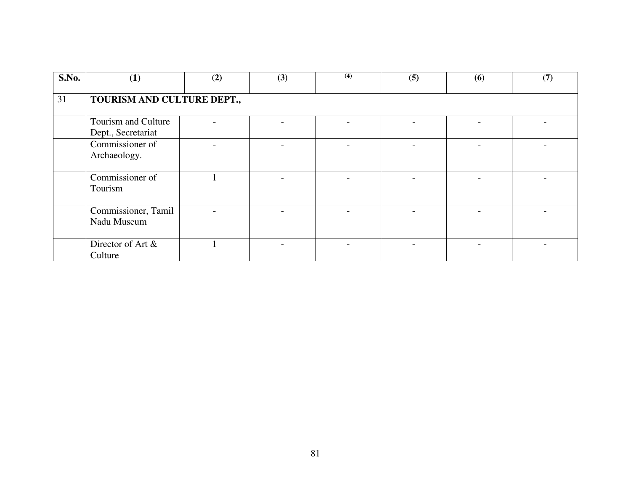| S.No. | (1)                                       | (2) | (3) | (4) | (5) | (6) | (7) |  |  |  |  |
|-------|-------------------------------------------|-----|-----|-----|-----|-----|-----|--|--|--|--|
| 31    | TOURISM AND CULTURE DEPT.,                |     |     |     |     |     |     |  |  |  |  |
|       | Tourism and Culture<br>Dept., Secretariat |     |     |     |     |     |     |  |  |  |  |
|       | Commissioner of<br>Archaeology.           |     |     |     |     |     |     |  |  |  |  |
|       | Commissioner of<br>Tourism                |     |     |     |     |     |     |  |  |  |  |
|       | Commissioner, Tamil<br>Nadu Museum        |     |     |     |     |     |     |  |  |  |  |
|       | Director of Art &<br>Culture              |     |     |     |     |     |     |  |  |  |  |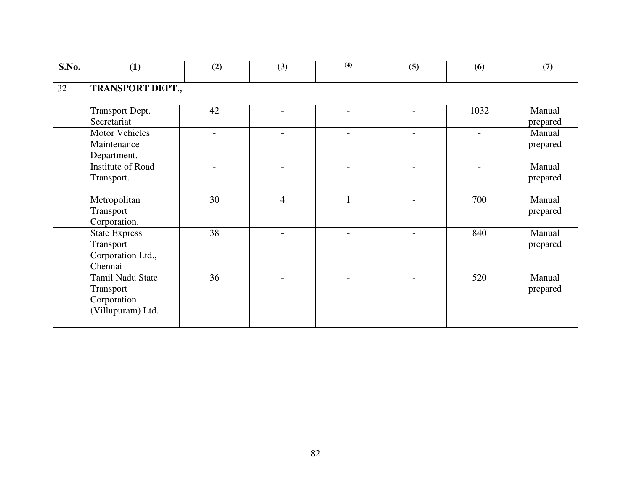| S.No. | (1)                     | (2) | (3)                      | (4)                      | (5)                      | (6)  | (7)      |  |  |  |  |
|-------|-------------------------|-----|--------------------------|--------------------------|--------------------------|------|----------|--|--|--|--|
| 32    | <b>TRANSPORT DEPT.,</b> |     |                          |                          |                          |      |          |  |  |  |  |
|       |                         |     |                          |                          |                          |      |          |  |  |  |  |
|       | Transport Dept.         | 42  | $\overline{\phantom{a}}$ | $\overline{\phantom{0}}$ | $\overline{\phantom{0}}$ | 1032 | Manual   |  |  |  |  |
|       | Secretariat             |     |                          |                          |                          |      | prepared |  |  |  |  |
|       | <b>Motor Vehicles</b>   |     | $\overline{a}$           |                          | $\overline{a}$           |      | Manual   |  |  |  |  |
|       | Maintenance             |     |                          |                          |                          |      | prepared |  |  |  |  |
|       | Department.             |     |                          |                          |                          |      |          |  |  |  |  |
|       | Institute of Road       |     |                          |                          |                          |      | Manual   |  |  |  |  |
|       | Transport.              |     |                          |                          |                          |      | prepared |  |  |  |  |
|       |                         |     |                          |                          |                          |      |          |  |  |  |  |
|       | Metropolitan            | 30  | $\overline{4}$           |                          |                          | 700  | Manual   |  |  |  |  |
|       | Transport               |     |                          |                          |                          |      | prepared |  |  |  |  |
|       | Corporation.            |     |                          |                          |                          |      |          |  |  |  |  |
|       | <b>State Express</b>    | 38  |                          |                          | $\overline{a}$           | 840  | Manual   |  |  |  |  |
|       | Transport               |     |                          |                          |                          |      | prepared |  |  |  |  |
|       | Corporation Ltd.,       |     |                          |                          |                          |      |          |  |  |  |  |
|       | Chennai                 |     |                          |                          |                          |      |          |  |  |  |  |
|       | Tamil Nadu State        | 36  |                          |                          |                          | 520  | Manual   |  |  |  |  |
|       | Transport               |     |                          |                          |                          |      | prepared |  |  |  |  |
|       | Corporation             |     |                          |                          |                          |      |          |  |  |  |  |
|       | (Villupuram) Ltd.       |     |                          |                          |                          |      |          |  |  |  |  |
|       |                         |     |                          |                          |                          |      |          |  |  |  |  |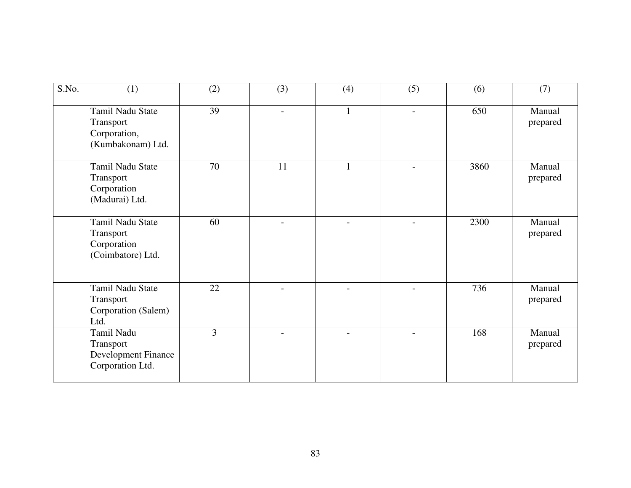| S.No. | (1)                                                                       | (2)            | (3) | (4)            | (5)                      | (6)  | (7)                |
|-------|---------------------------------------------------------------------------|----------------|-----|----------------|--------------------------|------|--------------------|
|       | Tamil Nadu State<br>Transport<br>Corporation,<br>(Kumbakonam) Ltd.        | 39             |     | $\mathbf{1}$   | $\overline{\phantom{0}}$ | 650  | Manual<br>prepared |
|       | Tamil Nadu State<br>Transport<br>Corporation<br>(Madurai) Ltd.            | 70             | 11  |                | $\overline{a}$           | 3860 | Manual<br>prepared |
|       | <b>Tamil Nadu State</b><br>Transport<br>Corporation<br>(Coimbatore) Ltd.  | 60             |     |                |                          | 2300 | Manual<br>prepared |
|       | Tamil Nadu State<br>Transport<br>Corporation (Salem)<br>Ltd.              | 22             |     | $\overline{a}$ | $\overline{a}$           | 736  | Manual<br>prepared |
|       | Tamil Nadu<br>Transport<br><b>Development Finance</b><br>Corporation Ltd. | $\overline{3}$ |     | $\overline{a}$ | $\overline{a}$           | 168  | Manual<br>prepared |